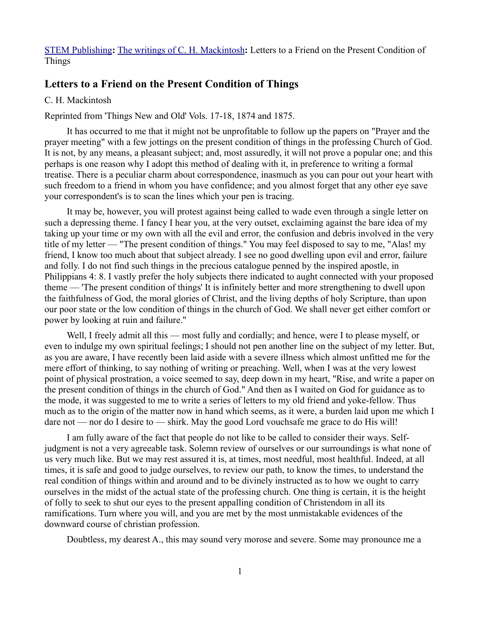[STEM Publishing](http://www.stempublishing.com/)**:** [The writings of C. H. Mackintosh](http://www.stempublishing.com/authors/mackintosh/index.html)**:** Letters to a Friend on the Present Condition of Things

# **Letters to a Friend on the Present Condition of Things**

### C. H. Mackintosh

Reprinted from 'Things New and Old' Vols. 17-18, 1874 and 1875.

It has occurred to me that it might not be unprofitable to follow up the papers on "Prayer and the prayer meeting" with a few jottings on the present condition of things in the professing Church of God. It is not, by any means, a pleasant subject; and, most assuredly, it will not prove a popular one; and this perhaps is one reason why I adopt this method of dealing with it, in preference to writing a formal treatise. There is a peculiar charm about correspondence, inasmuch as you can pour out your heart with such freedom to a friend in whom you have confidence; and you almost forget that any other eye save your correspondent's is to scan the lines which your pen is tracing.

It may be, however, you will protest against being called to wade even through a single letter on such a depressing theme. I fancy I hear you, at the very outset, exclaiming against the bare idea of my taking up your time or my own with all the evil and error, the confusion and debris involved in the very title of my letter — "The present condition of things." You may feel disposed to say to me, "Alas! my friend, I know too much about that subject already. I see no good dwelling upon evil and error, failure and folly. I do not find such things in the precious catalogue penned by the inspired apostle, in Philippians 4: 8. I vastly prefer the holy subjects there indicated to aught connected with your proposed theme — 'The present condition of things' It is infinitely better and more strengthening to dwell upon the faithfulness of God, the moral glories of Christ, and the living depths of holy Scripture, than upon our poor state or the low condition of things in the church of God. We shall never get either comfort or power by looking at ruin and failure."

Well, I freely admit all this — most fully and cordially; and hence, were I to please myself, or even to indulge my own spiritual feelings; I should not pen another line on the subject of my letter. But, as you are aware, I have recently been laid aside with a severe illness which almost unfitted me for the mere effort of thinking, to say nothing of writing or preaching. Well, when I was at the very lowest point of physical prostration, a voice seemed to say, deep down in my heart, "Rise, and write a paper on the present condition of things in the church of God." And then as I waited on God for guidance as to the mode, it was suggested to me to write a series of letters to my old friend and yoke-fellow. Thus much as to the origin of the matter now in hand which seems, as it were, a burden laid upon me which I dare not — nor do I desire to — shirk. May the good Lord vouchsafe me grace to do His will!

I am fully aware of the fact that people do not like to be called to consider their ways. Selfjudgment is not a very agreeable task. Solemn review of ourselves or our surroundings is what none of us very much like. But we may rest assured it is, at times, most needful, most healthful. Indeed, at all times, it is safe and good to judge ourselves, to review our path, to know the times, to understand the real condition of things within and around and to be divinely instructed as to how we ought to carry ourselves in the midst of the actual state of the professing church. One thing is certain, it is the height of folly to seek to shut our eyes to the present appalling condition of Christendom in all its ramifications. Turn where you will, and you are met by the most unmistakable evidences of the downward course of christian profession.

Doubtless, my dearest A., this may sound very morose and severe. Some may pronounce me a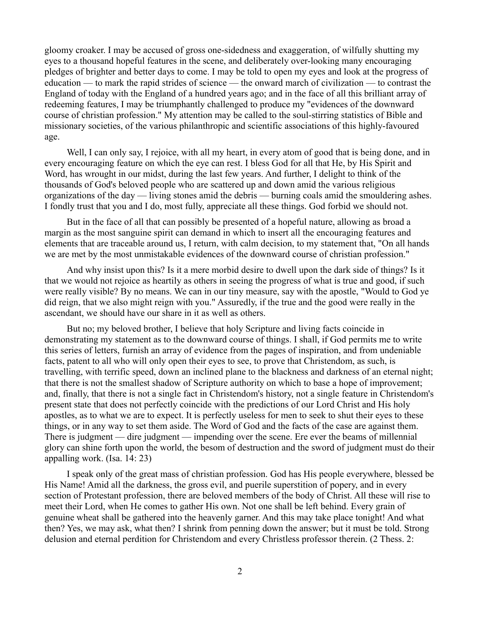gloomy croaker. I may be accused of gross one-sidedness and exaggeration, of wilfully shutting my eyes to a thousand hopeful features in the scene, and deliberately over-looking many encouraging pledges of brighter and better days to come. I may be told to open my eyes and look at the progress of education — to mark the rapid strides of science — the onward march of civilization — to contrast the England of today with the England of a hundred years ago; and in the face of all this brilliant array of redeeming features, I may be triumphantly challenged to produce my "evidences of the downward course of christian profession." My attention may be called to the soul-stirring statistics of Bible and missionary societies, of the various philanthropic and scientific associations of this highly-favoured age.

Well, I can only say, I rejoice, with all my heart, in every atom of good that is being done, and in every encouraging feature on which the eye can rest. I bless God for all that He, by His Spirit and Word, has wrought in our midst, during the last few years. And further, I delight to think of the thousands of God's beloved people who are scattered up and down amid the various religious organizations of the day — living stones amid the debris — burning coals amid the smouldering ashes. I fondly trust that you and I do, most fully, appreciate all these things. God forbid we should not.

But in the face of all that can possibly be presented of a hopeful nature, allowing as broad a margin as the most sanguine spirit can demand in which to insert all the encouraging features and elements that are traceable around us, I return, with calm decision, to my statement that, "On all hands we are met by the most unmistakable evidences of the downward course of christian profession."

And why insist upon this? Is it a mere morbid desire to dwell upon the dark side of things? Is it that we would not rejoice as heartily as others in seeing the progress of what is true and good, if such were really visible? By no means. We can in our tiny measure, say with the apostle, "Would to God ye did reign, that we also might reign with you." Assuredly, if the true and the good were really in the ascendant, we should have our share in it as well as others.

But no; my beloved brother, I believe that holy Scripture and living facts coincide in demonstrating my statement as to the downward course of things. I shall, if God permits me to write this series of letters, furnish an array of evidence from the pages of inspiration, and from undeniable facts, patent to all who will only open their eyes to see, to prove that Christendom, as such, is travelling, with terrific speed, down an inclined plane to the blackness and darkness of an eternal night; that there is not the smallest shadow of Scripture authority on which to base a hope of improvement; and, finally, that there is not a single fact in Christendom's history, not a single feature in Christendom's present state that does not perfectly coincide with the predictions of our Lord Christ and His holy apostles, as to what we are to expect. It is perfectly useless for men to seek to shut their eyes to these things, or in any way to set them aside. The Word of God and the facts of the case are against them. There is judgment — dire judgment — impending over the scene. Ere ever the beams of millennial glory can shine forth upon the world, the besom of destruction and the sword of judgment must do their appalling work. (Isa. 14: 23)

I speak only of the great mass of christian profession. God has His people everywhere, blessed be His Name! Amid all the darkness, the gross evil, and puerile superstition of popery, and in every section of Protestant profession, there are beloved members of the body of Christ. All these will rise to meet their Lord, when He comes to gather His own. Not one shall be left behind. Every grain of genuine wheat shall be gathered into the heavenly garner. And this may take place tonight! And what then? Yes, we may ask, what then? I shrink from penning down the answer; but it must be told. Strong delusion and eternal perdition for Christendom and every Christless professor therein. (2 Thess. 2: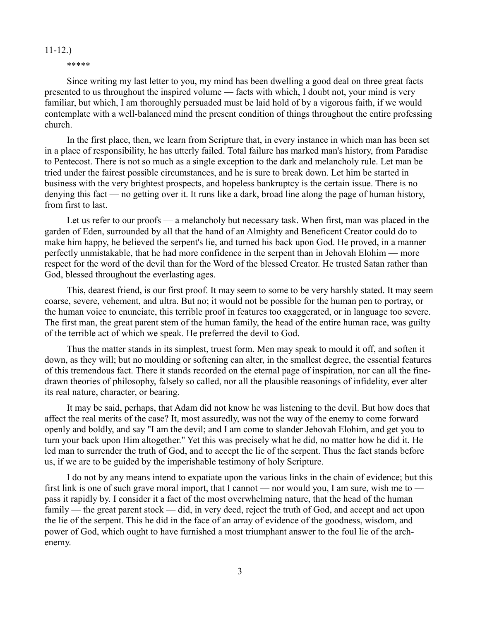### 11-12.)

#### \*\*\*\*\*

Since writing my last letter to you, my mind has been dwelling a good deal on three great facts presented to us throughout the inspired volume — facts with which, I doubt not, your mind is very familiar, but which, I am thoroughly persuaded must be laid hold of by a vigorous faith, if we would contemplate with a well-balanced mind the present condition of things throughout the entire professing church.

In the first place, then, we learn from Scripture that, in every instance in which man has been set in a place of responsibility, he has utterly failed. Total failure has marked man's history, from Paradise to Pentecost. There is not so much as a single exception to the dark and melancholy rule. Let man be tried under the fairest possible circumstances, and he is sure to break down. Let him be started in business with the very brightest prospects, and hopeless bankruptcy is the certain issue. There is no denying this fact — no getting over it. It runs like a dark, broad line along the page of human history, from first to last.

Let us refer to our proofs — a melancholy but necessary task. When first, man was placed in the garden of Eden, surrounded by all that the hand of an Almighty and Beneficent Creator could do to make him happy, he believed the serpent's lie, and turned his back upon God. He proved, in a manner perfectly unmistakable, that he had more confidence in the serpent than in Jehovah Elohim — more respect for the word of the devil than for the Word of the blessed Creator. He trusted Satan rather than God, blessed throughout the everlasting ages.

This, dearest friend, is our first proof. It may seem to some to be very harshly stated. It may seem coarse, severe, vehement, and ultra. But no; it would not be possible for the human pen to portray, or the human voice to enunciate, this terrible proof in features too exaggerated, or in language too severe. The first man, the great parent stem of the human family, the head of the entire human race, was guilty of the terrible act of which we speak. He preferred the devil to God.

Thus the matter stands in its simplest, truest form. Men may speak to mould it off, and soften it down, as they will; but no moulding or softening can alter, in the smallest degree, the essential features of this tremendous fact. There it stands recorded on the eternal page of inspiration, nor can all the finedrawn theories of philosophy, falsely so called, nor all the plausible reasonings of infidelity, ever alter its real nature, character, or bearing.

It may be said, perhaps, that Adam did not know he was listening to the devil. But how does that affect the real merits of the case? It, most assuredly, was not the way of the enemy to come forward openly and boldly, and say "I am the devil; and I am come to slander Jehovah Elohim, and get you to turn your back upon Him altogether." Yet this was precisely what he did, no matter how he did it. He led man to surrender the truth of God, and to accept the lie of the serpent. Thus the fact stands before us, if we are to be guided by the imperishable testimony of holy Scripture.

I do not by any means intend to expatiate upon the various links in the chain of evidence; but this first link is one of such grave moral import, that I cannot — nor would you, I am sure, wish me to pass it rapidly by. I consider it a fact of the most overwhelming nature, that the head of the human family — the great parent stock — did, in very deed, reject the truth of God, and accept and act upon the lie of the serpent. This he did in the face of an array of evidence of the goodness, wisdom, and power of God, which ought to have furnished a most triumphant answer to the foul lie of the archenemy.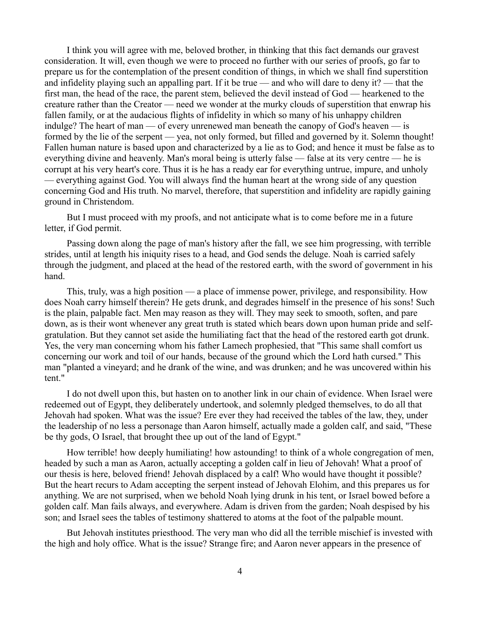I think you will agree with me, beloved brother, in thinking that this fact demands our gravest consideration. It will, even though we were to proceed no further with our series of proofs, go far to prepare us for the contemplation of the present condition of things, in which we shall find superstition and infidelity playing such an appalling part. If it be true — and who will dare to deny it? — that the first man, the head of the race, the parent stem, believed the devil instead of God — hearkened to the creature rather than the Creator — need we wonder at the murky clouds of superstition that enwrap his fallen family, or at the audacious flights of infidelity in which so many of his unhappy children indulge? The heart of man — of every unrenewed man beneath the canopy of God's heaven — is formed by the lie of the serpent — yea, not only formed, but filled and governed by it. Solemn thought! Fallen human nature is based upon and characterized by a lie as to God; and hence it must be false as to everything divine and heavenly. Man's moral being is utterly false — false at its very centre — he is corrupt at his very heart's core. Thus it is he has a ready ear for everything untrue, impure, and unholy — everything against God. You will always find the human heart at the wrong side of any question concerning God and His truth. No marvel, therefore, that superstition and infidelity are rapidly gaining ground in Christendom.

But I must proceed with my proofs, and not anticipate what is to come before me in a future letter, if God permit.

Passing down along the page of man's history after the fall, we see him progressing, with terrible strides, until at length his iniquity rises to a head, and God sends the deluge. Noah is carried safely through the judgment, and placed at the head of the restored earth, with the sword of government in his hand.

This, truly, was a high position — a place of immense power, privilege, and responsibility. How does Noah carry himself therein? He gets drunk, and degrades himself in the presence of his sons! Such is the plain, palpable fact. Men may reason as they will. They may seek to smooth, soften, and pare down, as is their wont whenever any great truth is stated which bears down upon human pride and selfgratulation. But they cannot set aside the humiliating fact that the head of the restored earth got drunk. Yes, the very man concerning whom his father Lamech prophesied, that "This same shall comfort us concerning our work and toil of our hands, because of the ground which the Lord hath cursed." This man "planted a vineyard; and he drank of the wine, and was drunken; and he was uncovered within his tent."

I do not dwell upon this, but hasten on to another link in our chain of evidence. When Israel were redeemed out of Egypt, they deliberately undertook, and solemnly pledged themselves, to do all that Jehovah had spoken. What was the issue? Ere ever they had received the tables of the law, they, under the leadership of no less a personage than Aaron himself, actually made a golden calf, and said, "These be thy gods, O Israel, that brought thee up out of the land of Egypt."

How terrible! how deeply humiliating! how astounding! to think of a whole congregation of men, headed by such a man as Aaron, actually accepting a golden calf in lieu of Jehovah! What a proof of our thesis is here, beloved friend! Jehovah displaced by a calf! Who would have thought it possible? But the heart recurs to Adam accepting the serpent instead of Jehovah Elohim, and this prepares us for anything. We are not surprised, when we behold Noah lying drunk in his tent, or Israel bowed before a golden calf. Man fails always, and everywhere. Adam is driven from the garden; Noah despised by his son; and Israel sees the tables of testimony shattered to atoms at the foot of the palpable mount.

But Jehovah institutes priesthood. The very man who did all the terrible mischief is invested with the high and holy office. What is the issue? Strange fire; and Aaron never appears in the presence of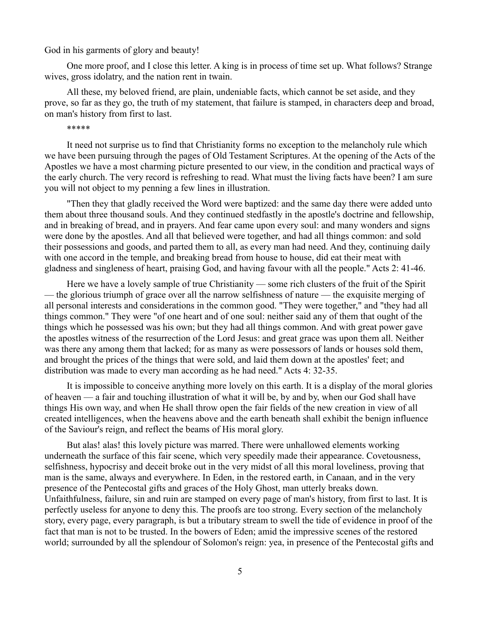God in his garments of glory and beauty!

One more proof, and I close this letter. A king is in process of time set up. What follows? Strange wives, gross idolatry, and the nation rent in twain.

All these, my beloved friend, are plain, undeniable facts, which cannot be set aside, and they prove, so far as they go, the truth of my statement, that failure is stamped, in characters deep and broad, on man's history from first to last.

\*\*\*\*\*

It need not surprise us to find that Christianity forms no exception to the melancholy rule which we have been pursuing through the pages of Old Testament Scriptures. At the opening of the Acts of the Apostles we have a most charming picture presented to our view, in the condition and practical ways of the early church. The very record is refreshing to read. What must the living facts have been? I am sure you will not object to my penning a few lines in illustration.

"Then they that gladly received the Word were baptized: and the same day there were added unto them about three thousand souls. And they continued stedfastly in the apostle's doctrine and fellowship, and in breaking of bread, and in prayers. And fear came upon every soul: and many wonders and signs were done by the apostles. And all that believed were together, and had all things common: and sold their possessions and goods, and parted them to all, as every man had need. And they, continuing daily with one accord in the temple, and breaking bread from house to house, did eat their meat with gladness and singleness of heart, praising God, and having favour with all the people." Acts 2: 41-46.

Here we have a lovely sample of true Christianity — some rich clusters of the fruit of the Spirit — the glorious triumph of grace over all the narrow selfishness of nature — the exquisite merging of all personal interests and considerations in the common good. "They were together," and "they had all things common." They were "of one heart and of one soul: neither said any of them that ought of the things which he possessed was his own; but they had all things common. And with great power gave the apostles witness of the resurrection of the Lord Jesus: and great grace was upon them all. Neither was there any among them that lacked; for as many as were possessors of lands or houses sold them, and brought the prices of the things that were sold, and laid them down at the apostles' feet; and distribution was made to every man according as he had need." Acts 4: 32-35.

It is impossible to conceive anything more lovely on this earth. It is a display of the moral glories of heaven — a fair and touching illustration of what it will be, by and by, when our God shall have things His own way, and when He shall throw open the fair fields of the new creation in view of all created intelligences, when the heavens above and the earth beneath shall exhibit the benign influence of the Saviour's reign, and reflect the beams of His moral glory.

But alas! alas! this lovely picture was marred. There were unhallowed elements working underneath the surface of this fair scene, which very speedily made their appearance. Covetousness, selfishness, hypocrisy and deceit broke out in the very midst of all this moral loveliness, proving that man is the same, always and everywhere. In Eden, in the restored earth, in Canaan, and in the very presence of the Pentecostal gifts and graces of the Holy Ghost, man utterly breaks down. Unfaithfulness, failure, sin and ruin are stamped on every page of man's history, from first to last. It is perfectly useless for anyone to deny this. The proofs are too strong. Every section of the melancholy story, every page, every paragraph, is but a tributary stream to swell the tide of evidence in proof of the fact that man is not to be trusted. In the bowers of Eden; amid the impressive scenes of the restored world; surrounded by all the splendour of Solomon's reign: yea, in presence of the Pentecostal gifts and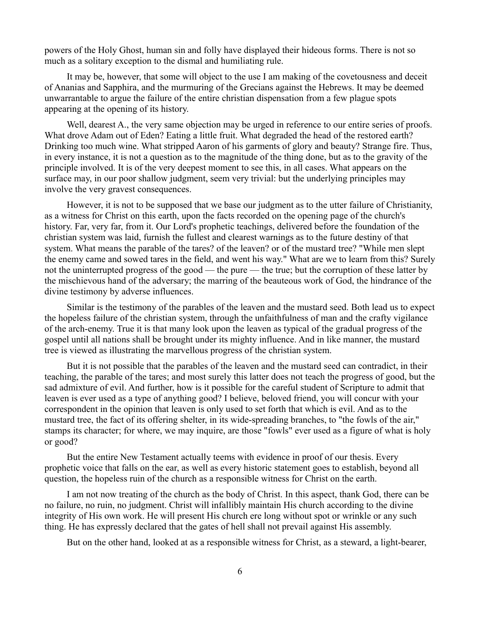powers of the Holy Ghost, human sin and folly have displayed their hideous forms. There is not so much as a solitary exception to the dismal and humiliating rule.

It may be, however, that some will object to the use I am making of the covetousness and deceit of Ananias and Sapphira, and the murmuring of the Grecians against the Hebrews. It may be deemed unwarrantable to argue the failure of the entire christian dispensation from a few plague spots appearing at the opening of its history.

Well, dearest A., the very same objection may be urged in reference to our entire series of proofs. What drove Adam out of Eden? Eating a little fruit. What degraded the head of the restored earth? Drinking too much wine. What stripped Aaron of his garments of glory and beauty? Strange fire. Thus, in every instance, it is not a question as to the magnitude of the thing done, but as to the gravity of the principle involved. It is of the very deepest moment to see this, in all cases. What appears on the surface may, in our poor shallow judgment, seem very trivial: but the underlying principles may involve the very gravest consequences.

However, it is not to be supposed that we base our judgment as to the utter failure of Christianity, as a witness for Christ on this earth, upon the facts recorded on the opening page of the church's history. Far, very far, from it. Our Lord's prophetic teachings, delivered before the foundation of the christian system was laid, furnish the fullest and clearest warnings as to the future destiny of that system. What means the parable of the tares? of the leaven? or of the mustard tree? "While men slept the enemy came and sowed tares in the field, and went his way." What are we to learn from this? Surely not the uninterrupted progress of the good — the pure — the true; but the corruption of these latter by the mischievous hand of the adversary; the marring of the beauteous work of God, the hindrance of the divine testimony by adverse influences.

Similar is the testimony of the parables of the leaven and the mustard seed. Both lead us to expect the hopeless failure of the christian system, through the unfaithfulness of man and the crafty vigilance of the arch-enemy. True it is that many look upon the leaven as typical of the gradual progress of the gospel until all nations shall be brought under its mighty influence. And in like manner, the mustard tree is viewed as illustrating the marvellous progress of the christian system.

But it is not possible that the parables of the leaven and the mustard seed can contradict, in their teaching, the parable of the tares; and most surely this latter does not teach the progress of good, but the sad admixture of evil. And further, how is it possible for the careful student of Scripture to admit that leaven is ever used as a type of anything good? I believe, beloved friend, you will concur with your correspondent in the opinion that leaven is only used to set forth that which is evil. And as to the mustard tree, the fact of its offering shelter, in its wide-spreading branches, to "the fowls of the air," stamps its character; for where, we may inquire, are those "fowls" ever used as a figure of what is holy or good?

But the entire New Testament actually teems with evidence in proof of our thesis. Every prophetic voice that falls on the ear, as well as every historic statement goes to establish, beyond all question, the hopeless ruin of the church as a responsible witness for Christ on the earth.

I am not now treating of the church as the body of Christ. In this aspect, thank God, there can be no failure, no ruin, no judgment. Christ will infallibly maintain His church according to the divine integrity of His own work. He will present His church ere long without spot or wrinkle or any such thing. He has expressly declared that the gates of hell shall not prevail against His assembly.

But on the other hand, looked at as a responsible witness for Christ, as a steward, a light-bearer,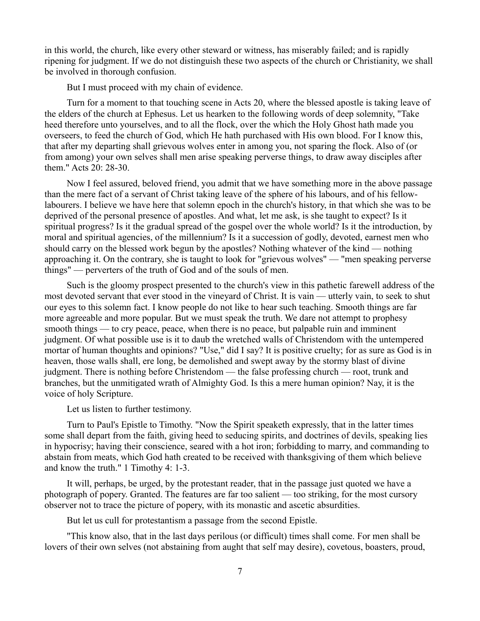in this world, the church, like every other steward or witness, has miserably failed; and is rapidly ripening for judgment. If we do not distinguish these two aspects of the church or Christianity, we shall be involved in thorough confusion.

But I must proceed with my chain of evidence.

Turn for a moment to that touching scene in Acts 20, where the blessed apostle is taking leave of the elders of the church at Ephesus. Let us hearken to the following words of deep solemnity, "Take heed therefore unto yourselves, and to all the flock, over the which the Holy Ghost hath made you overseers, to feed the church of God, which He hath purchased with His own blood. For I know this, that after my departing shall grievous wolves enter in among you, not sparing the flock. Also of (or from among) your own selves shall men arise speaking perverse things, to draw away disciples after them." Acts 20: 28-30.

Now I feel assured, beloved friend, you admit that we have something more in the above passage than the mere fact of a servant of Christ taking leave of the sphere of his labours, and of his fellowlabourers. I believe we have here that solemn epoch in the church's history, in that which she was to be deprived of the personal presence of apostles. And what, let me ask, is she taught to expect? Is it spiritual progress? Is it the gradual spread of the gospel over the whole world? Is it the introduction, by moral and spiritual agencies, of the millennium? Is it a succession of godly, devoted, earnest men who should carry on the blessed work begun by the apostles? Nothing whatever of the kind — nothing approaching it. On the contrary, she is taught to look for "grievous wolves" — "men speaking perverse things" — perverters of the truth of God and of the souls of men.

Such is the gloomy prospect presented to the church's view in this pathetic farewell address of the most devoted servant that ever stood in the vineyard of Christ. It is vain — utterly vain, to seek to shut our eyes to this solemn fact. I know people do not like to hear such teaching. Smooth things are far more agreeable and more popular. But we must speak the truth. We dare not attempt to prophesy smooth things — to cry peace, peace, when there is no peace, but palpable ruin and imminent judgment. Of what possible use is it to daub the wretched walls of Christendom with the untempered mortar of human thoughts and opinions? "Use," did I say? It is positive cruelty; for as sure as God is in heaven, those walls shall, ere long, be demolished and swept away by the stormy blast of divine judgment. There is nothing before Christendom — the false professing church — root, trunk and branches, but the unmitigated wrath of Almighty God. Is this a mere human opinion? Nay, it is the voice of holy Scripture.

Let us listen to further testimony.

Turn to Paul's Epistle to Timothy. "Now the Spirit speaketh expressly, that in the latter times some shall depart from the faith, giving heed to seducing spirits, and doctrines of devils, speaking lies in hypocrisy; having their conscience, seared with a hot iron; forbidding to marry, and commanding to abstain from meats, which God hath created to be received with thanksgiving of them which believe and know the truth." 1 Timothy 4: 1-3.

It will, perhaps, be urged, by the protestant reader, that in the passage just quoted we have a photograph of popery. Granted. The features are far too salient — too striking, for the most cursory observer not to trace the picture of popery, with its monastic and ascetic absurdities.

But let us cull for protestantism a passage from the second Epistle.

"This know also, that in the last days perilous (or difficult) times shall come. For men shall be lovers of their own selves (not abstaining from aught that self may desire), covetous, boasters, proud,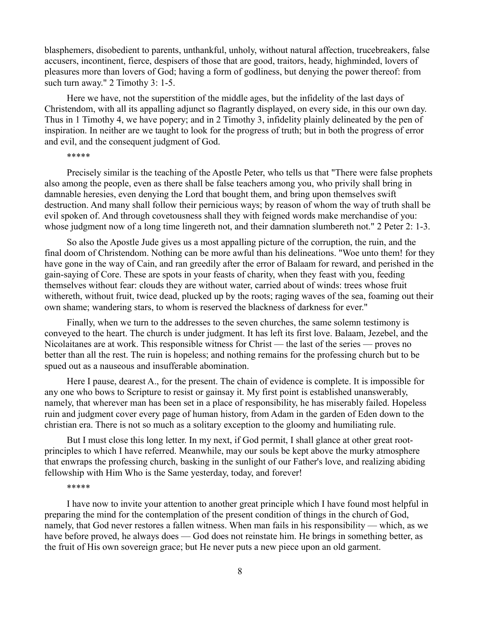blasphemers, disobedient to parents, unthankful, unholy, without natural affection, trucebreakers, false accusers, incontinent, fierce, despisers of those that are good, traitors, heady, highminded, lovers of pleasures more than lovers of God; having a form of godliness, but denying the power thereof: from such turn away." 2 Timothy 3: 1-5.

Here we have, not the superstition of the middle ages, but the infidelity of the last days of Christendom, with all its appalling adjunct so flagrantly displayed, on every side, in this our own day. Thus in 1 Timothy 4, we have popery; and in 2 Timothy 3, infidelity plainly delineated by the pen of inspiration. In neither are we taught to look for the progress of truth; but in both the progress of error and evil, and the consequent judgment of God.

### \*\*\*\*\*

Precisely similar is the teaching of the Apostle Peter, who tells us that "There were false prophets also among the people, even as there shall be false teachers among you, who privily shall bring in damnable heresies, even denying the Lord that bought them, and bring upon themselves swift destruction. And many shall follow their pernicious ways; by reason of whom the way of truth shall be evil spoken of. And through covetousness shall they with feigned words make merchandise of you: whose judgment now of a long time lingereth not, and their damnation slumbereth not." 2 Peter 2: 1-3.

So also the Apostle Jude gives us a most appalling picture of the corruption, the ruin, and the final doom of Christendom. Nothing can be more awful than his delineations. "Woe unto them! for they have gone in the way of Cain, and ran greedily after the error of Balaam for reward, and perished in the gain-saying of Core. These are spots in your feasts of charity, when they feast with you, feeding themselves without fear: clouds they are without water, carried about of winds: trees whose fruit withereth, without fruit, twice dead, plucked up by the roots; raging waves of the sea, foaming out their own shame; wandering stars, to whom is reserved the blackness of darkness for ever."

Finally, when we turn to the addresses to the seven churches, the same solemn testimony is conveyed to the heart. The church is under judgment. It has left its first love. Balaam, Jezebel, and the Nicolaitanes are at work. This responsible witness for Christ — the last of the series — proves no better than all the rest. The ruin is hopeless; and nothing remains for the professing church but to be spued out as a nauseous and insufferable abomination.

Here I pause, dearest A., for the present. The chain of evidence is complete. It is impossible for any one who bows to Scripture to resist or gainsay it. My first point is established unanswerably, namely, that wherever man has been set in a place of responsibility, he has miserably failed. Hopeless ruin and judgment cover every page of human history, from Adam in the garden of Eden down to the christian era. There is not so much as a solitary exception to the gloomy and humiliating rule.

But I must close this long letter. In my next, if God permit, I shall glance at other great rootprinciples to which I have referred. Meanwhile, may our souls be kept above the murky atmosphere that enwraps the professing church, basking in the sunlight of our Father's love, and realizing abiding fellowship with Him Who is the Same yesterday, today, and forever!

### \*\*\*\*\*

I have now to invite your attention to another great principle which I have found most helpful in preparing the mind for the contemplation of the present condition of things in the church of God, namely, that God never restores a fallen witness. When man fails in his responsibility — which, as we have before proved, he always does — God does not reinstate him. He brings in something better, as the fruit of His own sovereign grace; but He never puts a new piece upon an old garment.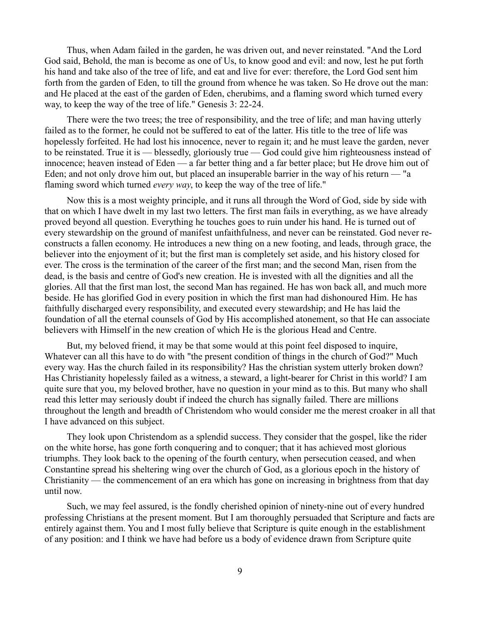Thus, when Adam failed in the garden, he was driven out, and never reinstated. "And the Lord God said, Behold, the man is become as one of Us, to know good and evil: and now, lest he put forth his hand and take also of the tree of life, and eat and live for ever: therefore, the Lord God sent him forth from the garden of Eden, to till the ground from whence he was taken. So He drove out the man: and He placed at the east of the garden of Eden, cherubims, and a flaming sword which turned every way, to keep the way of the tree of life." Genesis 3: 22-24.

There were the two trees; the tree of responsibility, and the tree of life; and man having utterly failed as to the former, he could not be suffered to eat of the latter. His title to the tree of life was hopelessly forfeited. He had lost his innocence, never to regain it; and he must leave the garden, never to be reinstated. True it is — blessedly, gloriously true — God could give him righteousness instead of innocence; heaven instead of Eden — a far better thing and a far better place; but He drove him out of Eden; and not only drove him out, but placed an insuperable barrier in the way of his return — "a flaming sword which turned *every way*, to keep the way of the tree of life."

Now this is a most weighty principle, and it runs all through the Word of God, side by side with that on which I have dwelt in my last two letters. The first man fails in everything, as we have already proved beyond all question. Everything he touches goes to ruin under his hand. He is turned out of every stewardship on the ground of manifest unfaithfulness, and never can be reinstated. God never reconstructs a fallen economy. He introduces a new thing on a new footing, and leads, through grace, the believer into the enjoyment of it; but the first man is completely set aside, and his history closed for ever. The cross is the termination of the career of the first man; and the second Man, risen from the dead, is the basis and centre of God's new creation. He is invested with all the dignities and all the glories. All that the first man lost, the second Man has regained. He has won back all, and much more beside. He has glorified God in every position in which the first man had dishonoured Him. He has faithfully discharged every responsibility, and executed every stewardship; and He has laid the foundation of all the eternal counsels of God by His accomplished atonement, so that He can associate believers with Himself in the new creation of which He is the glorious Head and Centre.

But, my beloved friend, it may be that some would at this point feel disposed to inquire, Whatever can all this have to do with "the present condition of things in the church of God?" Much every way. Has the church failed in its responsibility? Has the christian system utterly broken down? Has Christianity hopelessly failed as a witness, a steward, a light-bearer for Christ in this world? I am quite sure that you, my beloved brother, have no question in your mind as to this. But many who shall read this letter may seriously doubt if indeed the church has signally failed. There are millions throughout the length and breadth of Christendom who would consider me the merest croaker in all that I have advanced on this subject.

They look upon Christendom as a splendid success. They consider that the gospel, like the rider on the white horse, has gone forth conquering and to conquer; that it has achieved most glorious triumphs. They look back to the opening of the fourth century, when persecution ceased, and when Constantine spread his sheltering wing over the church of God, as a glorious epoch in the history of Christianity — the commencement of an era which has gone on increasing in brightness from that day until now.

Such, we may feel assured, is the fondly cherished opinion of ninety-nine out of every hundred professing Christians at the present moment. But I am thoroughly persuaded that Scripture and facts are entirely against them. You and I most fully believe that Scripture is quite enough in the establishment of any position: and I think we have had before us a body of evidence drawn from Scripture quite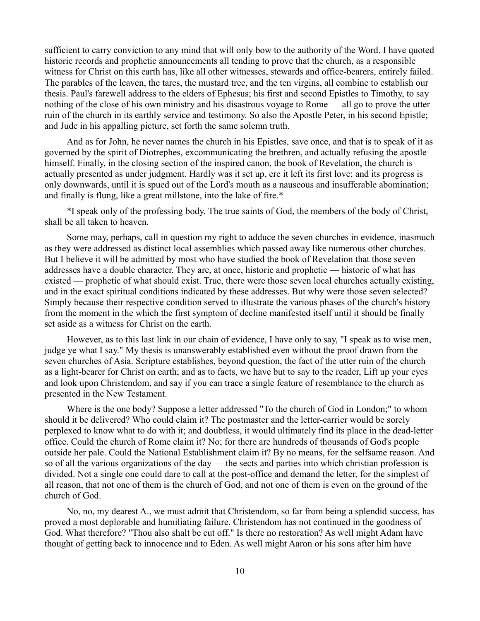sufficient to carry conviction to any mind that will only bow to the authority of the Word. I have quoted historic records and prophetic announcements all tending to prove that the church, as a responsible witness for Christ on this earth has, like all other witnesses, stewards and office-bearers, entirely failed. The parables of the leaven, the tares, the mustard tree, and the ten virgins, all combine to establish our thesis. Paul's farewell address to the elders of Ephesus; his first and second Epistles to Timothy, to say nothing of the close of his own ministry and his disastrous voyage to Rome — all go to prove the utter ruin of the church in its earthly service and testimony. So also the Apostle Peter, in his second Epistle; and Jude in his appalling picture, set forth the same solemn truth.

And as for John, he never names the church in his Epistles, save once, and that is to speak of it as governed by the spirit of Diotrephes, excommunicating the brethren, and actually refusing the apostle himself. Finally, in the closing section of the inspired canon, the book of Revelation, the church is actually presented as under judgment. Hardly was it set up, ere it left its first love; and its progress is only downwards, until it is spued out of the Lord's mouth as a nauseous and insufferable abomination; and finally is flung, like a great millstone, into the lake of fire.\*

\*I speak only of the professing body. The true saints of God, the members of the body of Christ, shall be all taken to heaven.

Some may, perhaps, call in question my right to adduce the seven churches in evidence, inasmuch as they were addressed as distinct local assemblies which passed away like numerous other churches. But I believe it will be admitted by most who have studied the book of Revelation that those seven addresses have a double character. They are, at once, historic and prophetic — historic of what has existed — prophetic of what should exist. True, there were those seven local churches actually existing, and in the exact spiritual conditions indicated by these addresses. But why were those seven selected? Simply because their respective condition served to illustrate the various phases of the church's history from the moment in the which the first symptom of decline manifested itself until it should be finally set aside as a witness for Christ on the earth.

However, as to this last link in our chain of evidence, I have only to say, "I speak as to wise men, judge ye what I say." My thesis is unanswerably established even without the proof drawn from the seven churches of Asia. Scripture establishes, beyond question, the fact of the utter ruin of the church as a light-bearer for Christ on earth; and as to facts, we have but to say to the reader, Lift up your eyes and look upon Christendom, and say if you can trace a single feature of resemblance to the church as presented in the New Testament.

Where is the one body? Suppose a letter addressed "To the church of God in London;" to whom should it be delivered? Who could claim it? The postmaster and the letter-carrier would be sorely perplexed to know what to do with it; and doubtless, it would ultimately find its place in the dead-letter office. Could the church of Rome claim it? No; for there are hundreds of thousands of God's people outside her pale. Could the National Establishment claim it? By no means, for the selfsame reason. And so of all the various organizations of the day — the sects and parties into which christian profession is divided. Not a single one could dare to call at the post-office and demand the letter, for the simplest of all reason, that not one of them is the church of God, and not one of them is even on the ground of the church of God.

No, no, my dearest A., we must admit that Christendom, so far from being a splendid success, has proved a most deplorable and humiliating failure. Christendom has not continued in the goodness of God. What therefore? "Thou also shalt be cut off." Is there no restoration? As well might Adam have thought of getting back to innocence and to Eden. As well might Aaron or his sons after him have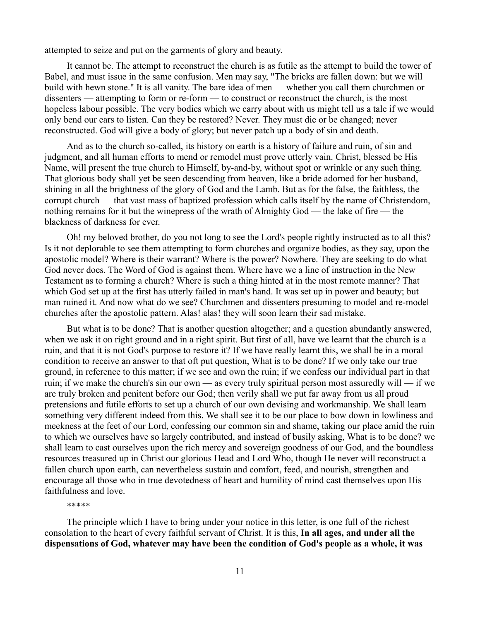attempted to seize and put on the garments of glory and beauty.

It cannot be. The attempt to reconstruct the church is as futile as the attempt to build the tower of Babel, and must issue in the same confusion. Men may say, "The bricks are fallen down: but we will build with hewn stone." It is all vanity. The bare idea of men — whether you call them churchmen or dissenters — attempting to form or re-form — to construct or reconstruct the church, is the most hopeless labour possible. The very bodies which we carry about with us might tell us a tale if we would only bend our ears to listen. Can they be restored? Never. They must die or be changed; never reconstructed. God will give a body of glory; but never patch up a body of sin and death.

And as to the church so-called, its history on earth is a history of failure and ruin, of sin and judgment, and all human efforts to mend or remodel must prove utterly vain. Christ, blessed be His Name, will present the true church to Himself, by-and-by, without spot or wrinkle or any such thing. That glorious body shall yet be seen descending from heaven, like a bride adorned for her husband, shining in all the brightness of the glory of God and the Lamb. But as for the false, the faithless, the corrupt church — that vast mass of baptized profession which calls itself by the name of Christendom, nothing remains for it but the winepress of the wrath of Almighty God — the lake of fire — the blackness of darkness for ever.

Oh! my beloved brother, do you not long to see the Lord's people rightly instructed as to all this? Is it not deplorable to see them attempting to form churches and organize bodies, as they say, upon the apostolic model? Where is their warrant? Where is the power? Nowhere. They are seeking to do what God never does. The Word of God is against them. Where have we a line of instruction in the New Testament as to forming a church? Where is such a thing hinted at in the most remote manner? That which God set up at the first has utterly failed in man's hand. It was set up in power and beauty; but man ruined it. And now what do we see? Churchmen and dissenters presuming to model and re-model churches after the apostolic pattern. Alas! alas! they will soon learn their sad mistake.

But what is to be done? That is another question altogether; and a question abundantly answered, when we ask it on right ground and in a right spirit. But first of all, have we learnt that the church is a ruin, and that it is not God's purpose to restore it? If we have really learnt this, we shall be in a moral condition to receive an answer to that oft put question, What is to be done? If we only take our true ground, in reference to this matter; if we see and own the ruin; if we confess our individual part in that ruin; if we make the church's sin our own — as every truly spiritual person most assuredly will — if we are truly broken and penitent before our God; then verily shall we put far away from us all proud pretensions and futile efforts to set up a church of our own devising and workmanship. We shall learn something very different indeed from this. We shall see it to be our place to bow down in lowliness and meekness at the feet of our Lord, confessing our common sin and shame, taking our place amid the ruin to which we ourselves have so largely contributed, and instead of busily asking, What is to be done? we shall learn to cast ourselves upon the rich mercy and sovereign goodness of our God, and the boundless resources treasured up in Christ our glorious Head and Lord Who, though He never will reconstruct a fallen church upon earth, can nevertheless sustain and comfort, feed, and nourish, strengthen and encourage all those who in true devotedness of heart and humility of mind cast themselves upon His faithfulness and love.

\*\*\*\*\*

The principle which I have to bring under your notice in this letter, is one full of the richest consolation to the heart of every faithful servant of Christ. It is this, **In all ages, and under all the dispensations of God, whatever may have been the condition of God's people as a whole, it was**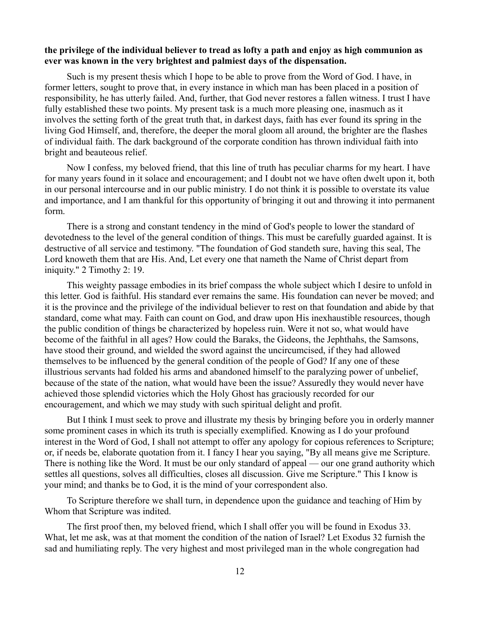## **the privilege of the individual believer to tread as lofty a path and enjoy as high communion as ever was known in the very brightest and palmiest days of the dispensation.**

Such is my present thesis which I hope to be able to prove from the Word of God. I have, in former letters, sought to prove that, in every instance in which man has been placed in a position of responsibility, he has utterly failed. And, further, that God never restores a fallen witness. I trust I have fully established these two points. My present task is a much more pleasing one, inasmuch as it involves the setting forth of the great truth that, in darkest days, faith has ever found its spring in the living God Himself, and, therefore, the deeper the moral gloom all around, the brighter are the flashes of individual faith. The dark background of the corporate condition has thrown individual faith into bright and beauteous relief.

Now I confess, my beloved friend, that this line of truth has peculiar charms for my heart. I have for many years found in it solace and encouragement; and I doubt not we have often dwelt upon it, both in our personal intercourse and in our public ministry. I do not think it is possible to overstate its value and importance, and I am thankful for this opportunity of bringing it out and throwing it into permanent form.

There is a strong and constant tendency in the mind of God's people to lower the standard of devotedness to the level of the general condition of things. This must be carefully guarded against. It is destructive of all service and testimony. "The foundation of God standeth sure, having this seal, The Lord knoweth them that are His. And, Let every one that nameth the Name of Christ depart from iniquity." 2 Timothy 2: 19.

This weighty passage embodies in its brief compass the whole subject which I desire to unfold in this letter. God is faithful. His standard ever remains the same. His foundation can never be moved; and it is the province and the privilege of the individual believer to rest on that foundation and abide by that standard, come what may. Faith can count on God, and draw upon His inexhaustible resources, though the public condition of things be characterized by hopeless ruin. Were it not so, what would have become of the faithful in all ages? How could the Baraks, the Gideons, the Jephthahs, the Samsons, have stood their ground, and wielded the sword against the uncircumcised, if they had allowed themselves to be influenced by the general condition of the people of God? If any one of these illustrious servants had folded his arms and abandoned himself to the paralyzing power of unbelief, because of the state of the nation, what would have been the issue? Assuredly they would never have achieved those splendid victories which the Holy Ghost has graciously recorded for our encouragement, and which we may study with such spiritual delight and profit.

But I think I must seek to prove and illustrate my thesis by bringing before you in orderly manner some prominent cases in which its truth is specially exemplified. Knowing as I do your profound interest in the Word of God, I shall not attempt to offer any apology for copious references to Scripture; or, if needs be, elaborate quotation from it. I fancy I hear you saying, "By all means give me Scripture. There is nothing like the Word. It must be our only standard of appeal — our one grand authority which settles all questions, solves all difficulties, closes all discussion. Give me Scripture." This I know is your mind; and thanks be to God, it is the mind of your correspondent also.

To Scripture therefore we shall turn, in dependence upon the guidance and teaching of Him by Whom that Scripture was indited.

The first proof then, my beloved friend, which I shall offer you will be found in Exodus 33. What, let me ask, was at that moment the condition of the nation of Israel? Let Exodus 32 furnish the sad and humiliating reply. The very highest and most privileged man in the whole congregation had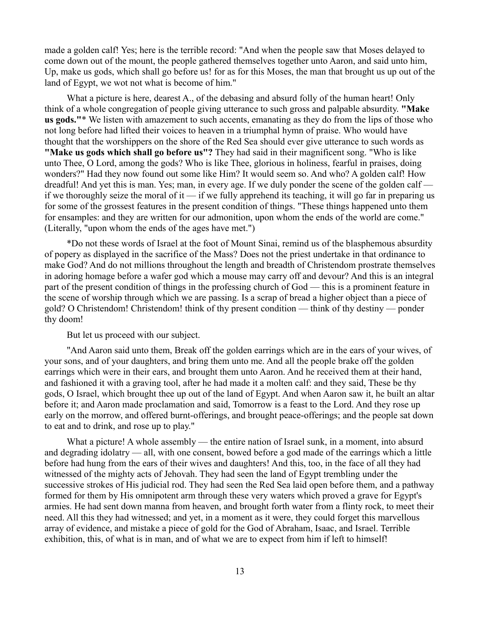made a golden calf! Yes; here is the terrible record: "And when the people saw that Moses delayed to come down out of the mount, the people gathered themselves together unto Aaron, and said unto him, Up, make us gods, which shall go before us! for as for this Moses, the man that brought us up out of the land of Egypt, we wot not what is become of him."

What a picture is here, dearest A., of the debasing and absurd folly of the human heart! Only think of a whole congregation of people giving utterance to such gross and palpable absurdity. **"Make us gods."**\* We listen with amazement to such accents, emanating as they do from the lips of those who not long before had lifted their voices to heaven in a triumphal hymn of praise. Who would have thought that the worshippers on the shore of the Red Sea should ever give utterance to such words as **"Make us gods which shall go before us"?** They had said in their magnificent song. "Who is like unto Thee, O Lord, among the gods? Who is like Thee, glorious in holiness, fearful in praises, doing wonders?" Had they now found out some like Him? It would seem so. And who? A golden calf! How dreadful! And yet this is man. Yes; man, in every age. If we duly ponder the scene of the golden calf if we thoroughly seize the moral of it — if we fully apprehend its teaching, it will go far in preparing us for some of the grossest features in the present condition of things. "These things happened unto them for ensamples: and they are written for our admonition, upon whom the ends of the world are come." (Literally, "upon whom the ends of the ages have met.")

\*Do not these words of Israel at the foot of Mount Sinai, remind us of the blasphemous absurdity of popery as displayed in the sacrifice of the Mass? Does not the priest undertake in that ordinance to make God? And do not millions throughout the length and breadth of Christendom prostrate themselves in adoring homage before a wafer god which a mouse may carry off and devour? And this is an integral part of the present condition of things in the professing church of God — this is a prominent feature in the scene of worship through which we are passing. Is a scrap of bread a higher object than a piece of gold? O Christendom! Christendom! think of thy present condition — think of thy destiny — ponder thy doom!

## But let us proceed with our subject.

"And Aaron said unto them, Break off the golden earrings which are in the ears of your wives, of your sons, and of your daughters, and bring them unto me. And all the people brake off the golden earrings which were in their ears, and brought them unto Aaron. And he received them at their hand, and fashioned it with a graving tool, after he had made it a molten calf: and they said, These be thy gods, O Israel, which brought thee up out of the land of Egypt. And when Aaron saw it, he built an altar before it; and Aaron made proclamation and said, Tomorrow is a feast to the Lord. And they rose up early on the morrow, and offered burnt-offerings, and brought peace-offerings; and the people sat down to eat and to drink, and rose up to play."

What a picture! A whole assembly — the entire nation of Israel sunk, in a moment, into absurd and degrading idolatry — all, with one consent, bowed before a god made of the earrings which a little before had hung from the ears of their wives and daughters! And this, too, in the face of all they had witnessed of the mighty acts of Jehovah. They had seen the land of Egypt trembling under the successive strokes of His judicial rod. They had seen the Red Sea laid open before them, and a pathway formed for them by His omnipotent arm through these very waters which proved a grave for Egypt's armies. He had sent down manna from heaven, and brought forth water from a flinty rock, to meet their need. All this they had witnessed; and yet, in a moment as it were, they could forget this marvellous array of evidence, and mistake a piece of gold for the God of Abraham, Isaac, and Israel. Terrible exhibition, this, of what is in man, and of what we are to expect from him if left to himself!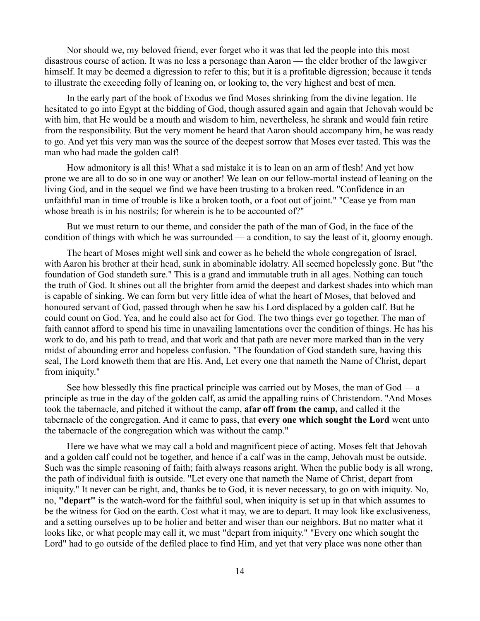Nor should we, my beloved friend, ever forget who it was that led the people into this most disastrous course of action. It was no less a personage than Aaron — the elder brother of the lawgiver himself. It may be deemed a digression to refer to this; but it is a profitable digression; because it tends to illustrate the exceeding folly of leaning on, or looking to, the very highest and best of men.

In the early part of the book of Exodus we find Moses shrinking from the divine legation. He hesitated to go into Egypt at the bidding of God, though assured again and again that Jehovah would be with him, that He would be a mouth and wisdom to him, nevertheless, he shrank and would fain retire from the responsibility. But the very moment he heard that Aaron should accompany him, he was ready to go. And yet this very man was the source of the deepest sorrow that Moses ever tasted. This was the man who had made the golden calf!

How admonitory is all this! What a sad mistake it is to lean on an arm of flesh! And yet how prone we are all to do so in one way or another! We lean on our fellow-mortal instead of leaning on the living God, and in the sequel we find we have been trusting to a broken reed. "Confidence in an unfaithful man in time of trouble is like a broken tooth, or a foot out of joint." "Cease ye from man whose breath is in his nostrils; for wherein is he to be accounted of?"

But we must return to our theme, and consider the path of the man of God, in the face of the condition of things with which he was surrounded — a condition, to say the least of it, gloomy enough.

The heart of Moses might well sink and cower as he beheld the whole congregation of Israel, with Aaron his brother at their head, sunk in abominable idolatry. All seemed hopelessly gone. But "the foundation of God standeth sure." This is a grand and immutable truth in all ages. Nothing can touch the truth of God. It shines out all the brighter from amid the deepest and darkest shades into which man is capable of sinking. We can form but very little idea of what the heart of Moses, that beloved and honoured servant of God, passed through when he saw his Lord displaced by a golden calf. But he could count on God. Yea, and he could also act for God. The two things ever go together. The man of faith cannot afford to spend his time in unavailing lamentations over the condition of things. He has his work to do, and his path to tread, and that work and that path are never more marked than in the very midst of abounding error and hopeless confusion. "The foundation of God standeth sure, having this seal, The Lord knoweth them that are His. And, Let every one that nameth the Name of Christ, depart from iniquity."

See how blessedly this fine practical principle was carried out by Moses, the man of God — a principle as true in the day of the golden calf, as amid the appalling ruins of Christendom. "And Moses took the tabernacle, and pitched it without the camp, **afar off from the camp,** and called it the tabernacle of the congregation. And it came to pass, that **every one which sought the Lord** went unto the tabernacle of the congregation which was without the camp."

Here we have what we may call a bold and magnificent piece of acting. Moses felt that Jehovah and a golden calf could not be together, and hence if a calf was in the camp, Jehovah must be outside. Such was the simple reasoning of faith; faith always reasons aright. When the public body is all wrong, the path of individual faith is outside. "Let every one that nameth the Name of Christ, depart from iniquity." It never can be right, and, thanks be to God, it is never necessary, to go on with iniquity. No, no, **"depart"** is the watch-word for the faithful soul, when iniquity is set up in that which assumes to be the witness for God on the earth. Cost what it may, we are to depart. It may look like exclusiveness, and a setting ourselves up to be holier and better and wiser than our neighbors. But no matter what it looks like, or what people may call it, we must "depart from iniquity." "Every one which sought the Lord" had to go outside of the defiled place to find Him, and yet that very place was none other than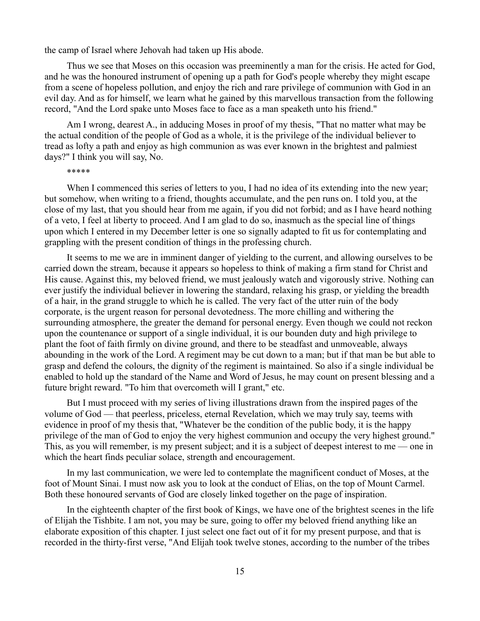the camp of Israel where Jehovah had taken up His abode.

Thus we see that Moses on this occasion was preeminently a man for the crisis. He acted for God, and he was the honoured instrument of opening up a path for God's people whereby they might escape from a scene of hopeless pollution, and enjoy the rich and rare privilege of communion with God in an evil day. And as for himself, we learn what he gained by this marvellous transaction from the following record, "And the Lord spake unto Moses face to face as a man speaketh unto his friend."

Am I wrong, dearest A., in adducing Moses in proof of my thesis, "That no matter what may be the actual condition of the people of God as a whole, it is the privilege of the individual believer to tread as lofty a path and enjoy as high communion as was ever known in the brightest and palmiest days?" I think you will say, No.

\*\*\*\*\*

When I commenced this series of letters to you, I had no idea of its extending into the new year; but somehow, when writing to a friend, thoughts accumulate, and the pen runs on. I told you, at the close of my last, that you should hear from me again, if you did not forbid; and as I have heard nothing of a veto, I feel at liberty to proceed. And I am glad to do so, inasmuch as the special line of things upon which I entered in my December letter is one so signally adapted to fit us for contemplating and grappling with the present condition of things in the professing church.

It seems to me we are in imminent danger of yielding to the current, and allowing ourselves to be carried down the stream, because it appears so hopeless to think of making a firm stand for Christ and His cause. Against this, my beloved friend, we must jealously watch and vigorously strive. Nothing can ever justify the individual believer in lowering the standard, relaxing his grasp, or yielding the breadth of a hair, in the grand struggle to which he is called. The very fact of the utter ruin of the body corporate, is the urgent reason for personal devotedness. The more chilling and withering the surrounding atmosphere, the greater the demand for personal energy. Even though we could not reckon upon the countenance or support of a single individual, it is our bounden duty and high privilege to plant the foot of faith firmly on divine ground, and there to be steadfast and unmoveable, always abounding in the work of the Lord. A regiment may be cut down to a man; but if that man be but able to grasp and defend the colours, the dignity of the regiment is maintained. So also if a single individual be enabled to hold up the standard of the Name and Word of Jesus, he may count on present blessing and a future bright reward. "To him that overcometh will I grant," etc.

But I must proceed with my series of living illustrations drawn from the inspired pages of the volume of God — that peerless, priceless, eternal Revelation, which we may truly say, teems with evidence in proof of my thesis that, "Whatever be the condition of the public body, it is the happy privilege of the man of God to enjoy the very highest communion and occupy the very highest ground." This, as you will remember, is my present subject; and it is a subject of deepest interest to me — one in which the heart finds peculiar solace, strength and encouragement.

In my last communication, we were led to contemplate the magnificent conduct of Moses, at the foot of Mount Sinai. I must now ask you to look at the conduct of Elias, on the top of Mount Carmel. Both these honoured servants of God are closely linked together on the page of inspiration.

In the eighteenth chapter of the first book of Kings, we have one of the brightest scenes in the life of Elijah the Tishbite. I am not, you may be sure, going to offer my beloved friend anything like an elaborate exposition of this chapter. I just select one fact out of it for my present purpose, and that is recorded in the thirty-first verse, "And Elijah took twelve stones, according to the number of the tribes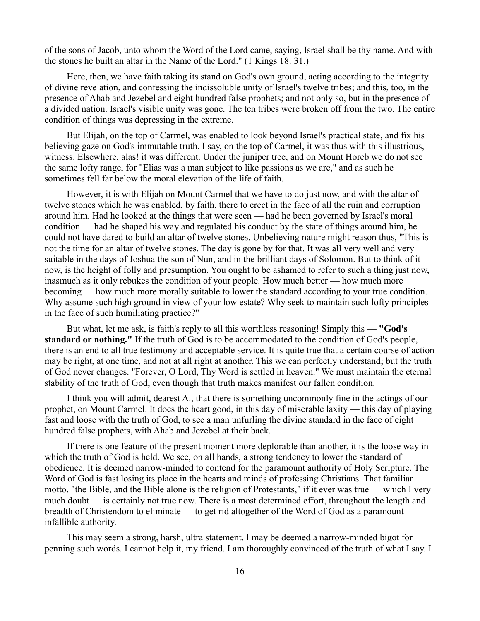of the sons of Jacob, unto whom the Word of the Lord came, saying, Israel shall be thy name. And with the stones he built an altar in the Name of the Lord." (1 Kings 18: 31.)

Here, then, we have faith taking its stand on God's own ground, acting according to the integrity of divine revelation, and confessing the indissoluble unity of Israel's twelve tribes; and this, too, in the presence of Ahab and Jezebel and eight hundred false prophets; and not only so, but in the presence of a divided nation. Israel's visible unity was gone. The ten tribes were broken off from the two. The entire condition of things was depressing in the extreme.

But Elijah, on the top of Carmel, was enabled to look beyond Israel's practical state, and fix his believing gaze on God's immutable truth. I say, on the top of Carmel, it was thus with this illustrious, witness. Elsewhere, alas! it was different. Under the juniper tree, and on Mount Horeb we do not see the same lofty range, for "Elias was a man subject to like passions as we are," and as such he sometimes fell far below the moral elevation of the life of faith.

However, it is with Elijah on Mount Carmel that we have to do just now, and with the altar of twelve stones which he was enabled, by faith, there to erect in the face of all the ruin and corruption around him. Had he looked at the things that were seen — had he been governed by Israel's moral condition — had he shaped his way and regulated his conduct by the state of things around him, he could not have dared to build an altar of twelve stones. Unbelieving nature might reason thus, "This is not the time for an altar of twelve stones. The day is gone by for that. It was all very well and very suitable in the days of Joshua the son of Nun, and in the brilliant days of Solomon. But to think of it now, is the height of folly and presumption. You ought to be ashamed to refer to such a thing just now, inasmuch as it only rebukes the condition of your people. How much better — how much more becoming — how much more morally suitable to lower the standard according to your true condition. Why assume such high ground in view of your low estate? Why seek to maintain such lofty principles in the face of such humiliating practice?"

But what, let me ask, is faith's reply to all this worthless reasoning! Simply this — **"God's standard or nothing."** If the truth of God is to be accommodated to the condition of God's people, there is an end to all true testimony and acceptable service. It is quite true that a certain course of action may be right, at one time, and not at all right at another. This we can perfectly understand; but the truth of God never changes. "Forever, O Lord, Thy Word is settled in heaven." We must maintain the eternal stability of the truth of God, even though that truth makes manifest our fallen condition.

I think you will admit, dearest A., that there is something uncommonly fine in the actings of our prophet, on Mount Carmel. It does the heart good, in this day of miserable laxity — this day of playing fast and loose with the truth of God, to see a man unfurling the divine standard in the face of eight hundred false prophets, with Ahab and Jezebel at their back.

If there is one feature of the present moment more deplorable than another, it is the loose way in which the truth of God is held. We see, on all hands, a strong tendency to lower the standard of obedience. It is deemed narrow-minded to contend for the paramount authority of Holy Scripture. The Word of God is fast losing its place in the hearts and minds of professing Christians. That familiar motto. "the Bible, and the Bible alone is the religion of Protestants," if it ever was true — which I very much doubt — is certainly not true now. There is a most determined effort, throughout the length and breadth of Christendom to eliminate — to get rid altogether of the Word of God as a paramount infallible authority.

This may seem a strong, harsh, ultra statement. I may be deemed a narrow-minded bigot for penning such words. I cannot help it, my friend. I am thoroughly convinced of the truth of what I say. I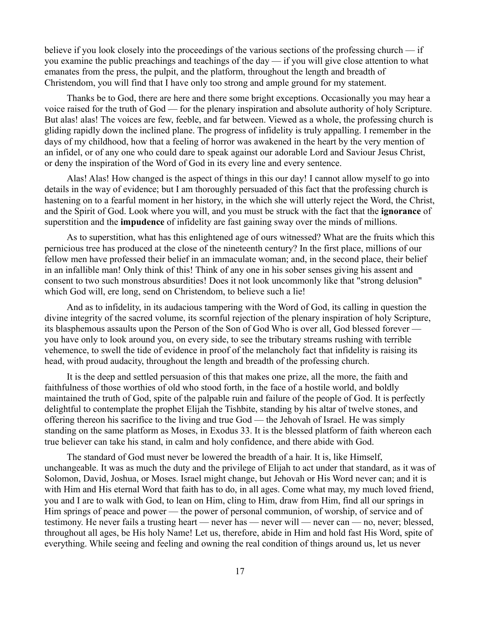believe if you look closely into the proceedings of the various sections of the professing church — if you examine the public preachings and teachings of the day — if you will give close attention to what emanates from the press, the pulpit, and the platform, throughout the length and breadth of Christendom, you will find that I have only too strong and ample ground for my statement.

Thanks be to God, there are here and there some bright exceptions. Occasionally you may hear a voice raised for the truth of God — for the plenary inspiration and absolute authority of holy Scripture. But alas! alas! The voices are few, feeble, and far between. Viewed as a whole, the professing church is gliding rapidly down the inclined plane. The progress of infidelity is truly appalling. I remember in the days of my childhood, how that a feeling of horror was awakened in the heart by the very mention of an infidel, or of any one who could dare to speak against our adorable Lord and Saviour Jesus Christ, or deny the inspiration of the Word of God in its every line and every sentence.

Alas! Alas! How changed is the aspect of things in this our day! I cannot allow myself to go into details in the way of evidence; but I am thoroughly persuaded of this fact that the professing church is hastening on to a fearful moment in her history, in the which she will utterly reject the Word, the Christ, and the Spirit of God. Look where you will, and you must be struck with the fact that the **ignorance** of superstition and the **impudence** of infidelity are fast gaining sway over the minds of millions.

As to superstition, what has this enlightened age of ours witnessed? What are the fruits which this pernicious tree has produced at the close of the nineteenth century? In the first place, millions of our fellow men have professed their belief in an immaculate woman; and, in the second place, their belief in an infallible man! Only think of this! Think of any one in his sober senses giving his assent and consent to two such monstrous absurdities! Does it not look uncommonly like that "strong delusion" which God will, ere long, send on Christendom, to believe such a lie!

And as to infidelity, in its audacious tampering with the Word of God, its calling in question the divine integrity of the sacred volume, its scornful rejection of the plenary inspiration of holy Scripture, its blasphemous assaults upon the Person of the Son of God Who is over all, God blessed forever you have only to look around you, on every side, to see the tributary streams rushing with terrible vehemence, to swell the tide of evidence in proof of the melancholy fact that infidelity is raising its head, with proud audacity, throughout the length and breadth of the professing church.

It is the deep and settled persuasion of this that makes one prize, all the more, the faith and faithfulness of those worthies of old who stood forth, in the face of a hostile world, and boldly maintained the truth of God, spite of the palpable ruin and failure of the people of God. It is perfectly delightful to contemplate the prophet Elijah the Tishbite, standing by his altar of twelve stones, and offering thereon his sacrifice to the living and true God — the Jehovah of Israel. He was simply standing on the same platform as Moses, in Exodus 33. It is the blessed platform of faith whereon each true believer can take his stand, in calm and holy confidence, and there abide with God.

The standard of God must never be lowered the breadth of a hair. It is, like Himself, unchangeable. It was as much the duty and the privilege of Elijah to act under that standard, as it was of Solomon, David, Joshua, or Moses. Israel might change, but Jehovah or His Word never can; and it is with Him and His eternal Word that faith has to do, in all ages. Come what may, my much loved friend, you and I are to walk with God, to lean on Him, cling to Him, draw from Him, find all our springs in Him springs of peace and power — the power of personal communion, of worship, of service and of testimony. He never fails a trusting heart — never has — never will — never can — no, never; blessed, throughout all ages, be His holy Name! Let us, therefore, abide in Him and hold fast His Word, spite of everything. While seeing and feeling and owning the real condition of things around us, let us never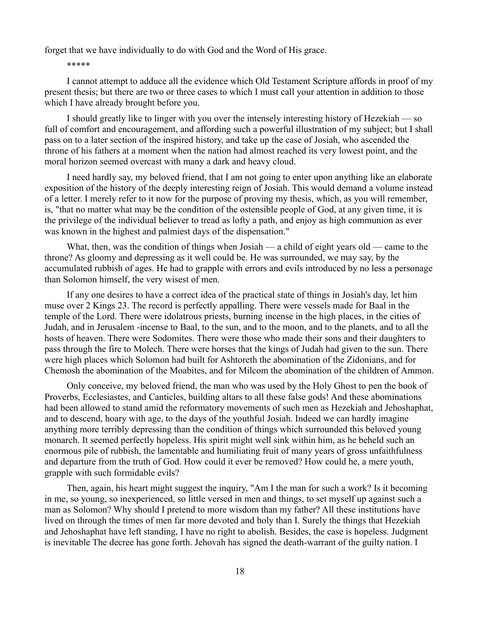forget that we have individually to do with God and the Word of His grace.

### \*\*\*\*\*

I cannot attempt to adduce all the evidence which Old Testament Scripture affords in proof of my present thesis; but there are two or three cases to which I must call your attention in addition to those which I have already brought before you.

I should greatly like to linger with you over the intensely interesting history of Hezekiah — so full of comfort and encouragement, and affording such a powerful illustration of my subject; but I shall pass on to a later section of the inspired history, and take up the case of Josiah, who ascended the throne of his fathers at a moment when the nation had almost reached its very lowest point, and the moral horizon seemed overcast with many a dark and heavy cloud.

I need hardly say, my beloved friend, that I am not going to enter upon anything like an elaborate exposition of the history of the deeply interesting reign of Josiah. This would demand a volume instead of a letter. I merely refer to it now for the purpose of proving my thesis, which, as you will remember, is, "that no matter what may be the condition of the ostensible people of God, at any given time, it is the privilege of the individual believer to tread as lofty a path, and enjoy as high communion as ever was known in the highest and palmiest days of the dispensation."

What, then, was the condition of things when Josiah — a child of eight years old — came to the throne? As gloomy and depressing as it well could be. He was surrounded, we may say, by the accumulated rubbish of ages. He had to grapple with errors and evils introduced by no less a personage than Solomon himself, the very wisest of men.

If any one desires to have a correct idea of the practical state of things in Josiah's day, let him muse over 2 Kings 23. The record is perfectly appalling. There were vessels made for Baal in the temple of the Lord. There were idolatrous priests, burning incense in the high places, in the cities of Judah, and in Jerusalem -incense to Baal, to the sun, and to the moon, and to the planets, and to all the hosts of heaven. There were Sodomites. There were those who made their sons and their daughters to pass through the fire to Molech. There were horses that the kings of Judah had given to the sun. There were high places which Solomon had built for Ashtoreth the abomination of the Zidonians, and for Chemosh the abomination of the Moabites, and for Milcom the abomination of the children of Ammon.

Only conceive, my beloved friend, the man who was used by the Holy Ghost to pen the book of Proverbs, Ecclesiastes, and Canticles, building altars to all these false gods! And these abominations had been allowed to stand amid the reformatory movements of such men as Hezekiah and Jehoshaphat, and to descend, hoary with age, to the days of the youthful Josiah. Indeed we can hardly imagine anything more terribly depressing than the condition of things which surrounded this beloved young monarch. It seemed perfectly hopeless. His spirit might well sink within him, as he beheld such an enormous pile of rubbish, the lamentable and humiliating fruit of many years of gross unfaithfulness and departure from the truth of God. How could it ever be removed? How could he, a mere youth, grapple with such formidable evils?

Then, again, his heart might suggest the inquiry, "Am I the man for such a work? Is it becoming in me, so young, so inexperienced, so little versed in men and things, to set myself up against such a man as Solomon? Why should I pretend to more wisdom than my father? All these institutions have lived on through the times of men far more devoted and holy than I. Surely the things that Hezekiah and Jehoshaphat have left standing, I have no right to abolish. Besides, the case is hopeless. Judgment is inevitable The decree has gone forth. Jehovah has signed the death-warrant of the guilty nation. I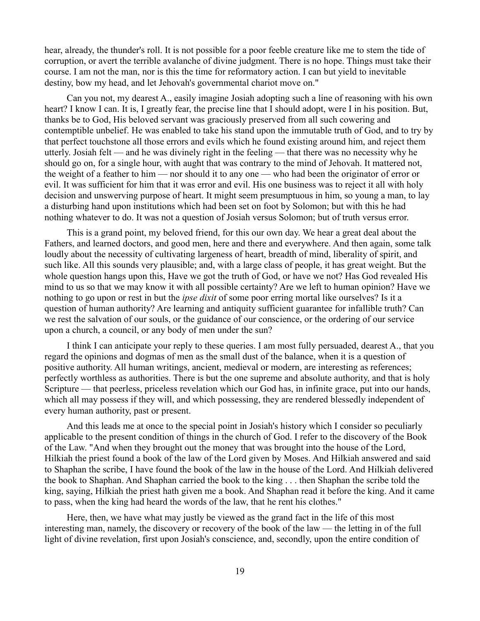hear, already, the thunder's roll. It is not possible for a poor feeble creature like me to stem the tide of corruption, or avert the terrible avalanche of divine judgment. There is no hope. Things must take their course. I am not the man, nor is this the time for reformatory action. I can but yield to inevitable destiny, bow my head, and let Jehovah's governmental chariot move on."

Can you not, my dearest A., easily imagine Josiah adopting such a line of reasoning with his own heart? I know I can. It is, I greatly fear, the precise line that I should adopt, were I in his position. But, thanks be to God, His beloved servant was graciously preserved from all such cowering and contemptible unbelief. He was enabled to take his stand upon the immutable truth of God, and to try by that perfect touchstone all those errors and evils which he found existing around him, and reject them utterly. Josiah felt — and he was divinely right in the feeling — that there was no necessity why he should go on, for a single hour, with aught that was contrary to the mind of Jehovah. It mattered not, the weight of a feather to him — nor should it to any one — who had been the originator of error or evil. It was sufficient for him that it was error and evil. His one business was to reject it all with holy decision and unswerving purpose of heart. It might seem presumptuous in him, so young a man, to lay a disturbing hand upon institutions which had been set on foot by Solomon; but with this he had nothing whatever to do. It was not a question of Josiah versus Solomon; but of truth versus error.

This is a grand point, my beloved friend, for this our own day. We hear a great deal about the Fathers, and learned doctors, and good men, here and there and everywhere. And then again, some talk loudly about the necessity of cultivating largeness of heart, breadth of mind, liberality of spirit, and such like. All this sounds very plausible; and, with a large class of people, it has great weight. But the whole question hangs upon this, Have we got the truth of God, or have we not? Has God revealed His mind to us so that we may know it with all possible certainty? Are we left to human opinion? Have we nothing to go upon or rest in but the *ipse dixit* of some poor erring mortal like ourselves? Is it a question of human authority? Are learning and antiquity sufficient guarantee for infallible truth? Can we rest the salvation of our souls, or the guidance of our conscience, or the ordering of our service upon a church, a council, or any body of men under the sun?

I think I can anticipate your reply to these queries. I am most fully persuaded, dearest A., that you regard the opinions and dogmas of men as the small dust of the balance, when it is a question of positive authority. All human writings, ancient, medieval or modern, are interesting as references; perfectly worthless as authorities. There is but the one supreme and absolute authority, and that is holy Scripture — that peerless, priceless revelation which our God has, in infinite grace, put into our hands, which all may possess if they will, and which possessing, they are rendered blessedly independent of every human authority, past or present.

And this leads me at once to the special point in Josiah's history which I consider so peculiarly applicable to the present condition of things in the church of God. I refer to the discovery of the Book of the Law. "And when they brought out the money that was brought into the house of the Lord, Hilkiah the priest found a book of the law of the Lord given by Moses. And Hilkiah answered and said to Shaphan the scribe, I have found the book of the law in the house of the Lord. And Hilkiah delivered the book to Shaphan. And Shaphan carried the book to the king . . . then Shaphan the scribe told the king, saying, Hilkiah the priest hath given me a book. And Shaphan read it before the king. And it came to pass, when the king had heard the words of the law, that he rent his clothes."

Here, then, we have what may justly be viewed as the grand fact in the life of this most interesting man, namely, the discovery or recovery of the book of the law — the letting in of the full light of divine revelation, first upon Josiah's conscience, and, secondly, upon the entire condition of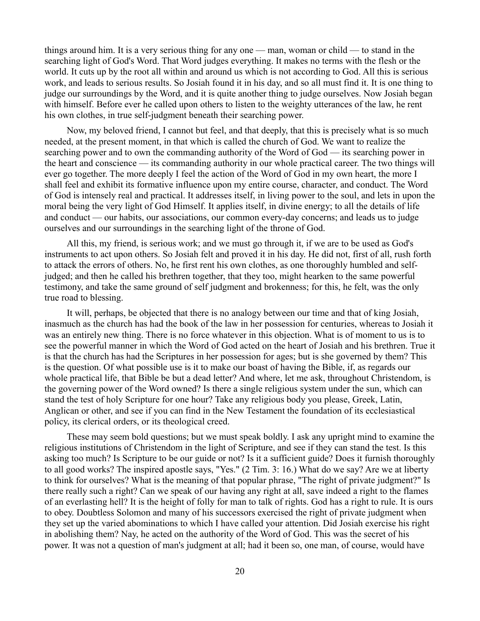things around him. It is a very serious thing for any one — man, woman or child — to stand in the searching light of God's Word. That Word judges everything. It makes no terms with the flesh or the world. It cuts up by the root all within and around us which is not according to God. All this is serious work, and leads to serious results. So Josiah found it in his day, and so all must find it. It is one thing to judge our surroundings by the Word, and it is quite another thing to judge ourselves. Now Josiah began with himself. Before ever he called upon others to listen to the weighty utterances of the law, he rent his own clothes, in true self-judgment beneath their searching power.

Now, my beloved friend, I cannot but feel, and that deeply, that this is precisely what is so much needed, at the present moment, in that which is called the church of God. We want to realize the searching power and to own the commanding authority of the Word of God — its searching power in the heart and conscience — its commanding authority in our whole practical career. The two things will ever go together. The more deeply I feel the action of the Word of God in my own heart, the more I shall feel and exhibit its formative influence upon my entire course, character, and conduct. The Word of God is intensely real and practical. It addresses itself, in living power to the soul, and lets in upon the moral being the very light of God Himself. It applies itself, in divine energy; to all the details of life and conduct — our habits, our associations, our common every-day concerns; and leads us to judge ourselves and our surroundings in the searching light of the throne of God.

All this, my friend, is serious work; and we must go through it, if we are to be used as God's instruments to act upon others. So Josiah felt and proved it in his day. He did not, first of all, rush forth to attack the errors of others. No, he first rent his own clothes, as one thoroughly humbled and selfjudged; and then he called his brethren together, that they too, might hearken to the same powerful testimony, and take the same ground of self judgment and brokenness; for this, he felt, was the only true road to blessing.

It will, perhaps, be objected that there is no analogy between our time and that of king Josiah, inasmuch as the church has had the book of the law in her possession for centuries, whereas to Josiah it was an entirely new thing. There is no force whatever in this objection. What is of moment to us is to see the powerful manner in which the Word of God acted on the heart of Josiah and his brethren. True it is that the church has had the Scriptures in her possession for ages; but is she governed by them? This is the question. Of what possible use is it to make our boast of having the Bible, if, as regards our whole practical life, that Bible be but a dead letter? And where, let me ask, throughout Christendom, is the governing power of the Word owned? Is there a single religious system under the sun, which can stand the test of holy Scripture for one hour? Take any religious body you please, Greek, Latin, Anglican or other, and see if you can find in the New Testament the foundation of its ecclesiastical policy, its clerical orders, or its theological creed.

These may seem bold questions; but we must speak boldly. I ask any upright mind to examine the religious institutions of Christendom in the light of Scripture, and see if they can stand the test. Is this asking too much? Is Scripture to be our guide or not? Is it a sufficient guide? Does it furnish thoroughly to all good works? The inspired apostle says, "Yes." (2 Tim. 3: 16.) What do we say? Are we at liberty to think for ourselves? What is the meaning of that popular phrase, "The right of private judgment?" Is there really such a right? Can we speak of our having any right at all, save indeed a right to the flames of an everlasting hell? It is the height of folly for man to talk of rights. God has a right to rule. It is ours to obey. Doubtless Solomon and many of his successors exercised the right of private judgment when they set up the varied abominations to which I have called your attention. Did Josiah exercise his right in abolishing them? Nay, he acted on the authority of the Word of God. This was the secret of his power. It was not a question of man's judgment at all; had it been so, one man, of course, would have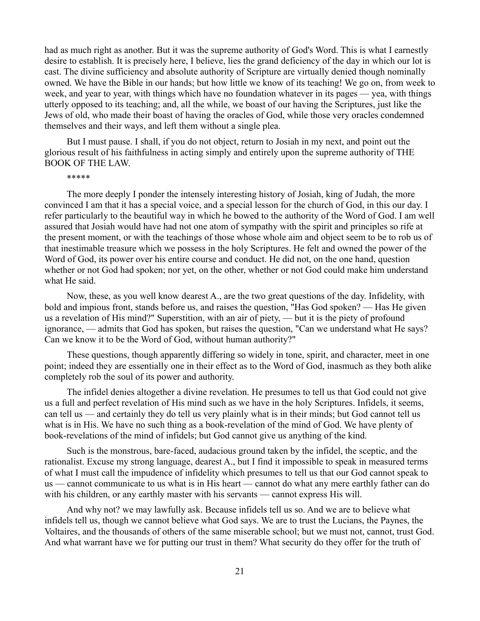had as much right as another. But it was the supreme authority of God's Word. This is what I earnestly desire to establish. It is precisely here, I believe, lies the grand deficiency of the day in which our lot is cast. The divine sufficiency and absolute authority of Scripture are virtually denied though nominally owned. We have the Bible in our hands; but how little we know of its teaching! We go on, from week to week, and year to year, with things which have no foundation whatever in its pages — yea, with things utterly opposed to its teaching; and, all the while, we boast of our having the Scriptures, just like the Jews of old, who made their boast of having the oracles of God, while those very oracles condemned themselves and their ways, and left them without a single plea.

But I must pause. I shall, if you do not object, return to Josiah in my next, and point out the glorious result of his faithfulness in acting simply and entirely upon the supreme authority of THE BOOK OF THE LAW.

### \*\*\*\*\*

The more deeply I ponder the intensely interesting history of Josiah, king of Judah, the more convinced I am that it has a special voice, and a special lesson for the church of God, in this our day. I refer particularly to the beautiful way in which he bowed to the authority of the Word of God. I am well assured that Josiah would have had not one atom of sympathy with the spirit and principles so rife at the present moment, or with the teachings of those whose whole aim and object seem to be to rob us of that inestimable treasure which we possess in the holy Scriptures. He felt and owned the power of the Word of God, its power over his entire course and conduct. He did not, on the one hand, question whether or not God had spoken; nor yet, on the other, whether or not God could make him understand what He said.

Now, these, as you well know dearest A., are the two great questions of the day. Infidelity, with bold and impious front, stands before us, and raises the question, "Has God spoken? — Has He given us a revelation of His mind?" Superstition, with an air of piety, — but it is the piety of profound ignorance, — admits that God has spoken, but raises the question, "Can we understand what He says? Can we know it to be the Word of God, without human authority?"

These questions, though apparently differing so widely in tone, spirit, and character, meet in one point; indeed they are essentially one in their effect as to the Word of God, inasmuch as they both alike completely rob the soul of its power and authority.

The infidel denies altogether a divine revelation. He presumes to tell us that God could not give us a full and perfect revelation of His mind such as we have in the holy Scriptures. Infidels, it seems, can tell us — and certainly they do tell us very plainly what is in their minds; but God cannot tell us what is in His. We have no such thing as a book-revelation of the mind of God. We have plenty of book-revelations of the mind of infidels; but God cannot give us anything of the kind.

Such is the monstrous, bare-faced, audacious ground taken by the infidel, the sceptic, and the rationalist. Excuse my strong language, dearest A., but I find it impossible to speak in measured terms of what I must call the impudence of infidelity which presumes to tell us that our God cannot speak to us — cannot communicate to us what is in His heart — cannot do what any mere earthly father can do with his children, or any earthly master with his servants — cannot express His will.

And why not? we may lawfully ask. Because infidels tell us so. And we are to believe what infidels tell us, though we cannot believe what God says. We are to trust the Lucians, the Paynes, the Voltaires, and the thousands of others of the same miserable school; but we must not, cannot, trust God. And what warrant have we for putting our trust in them? What security do they offer for the truth of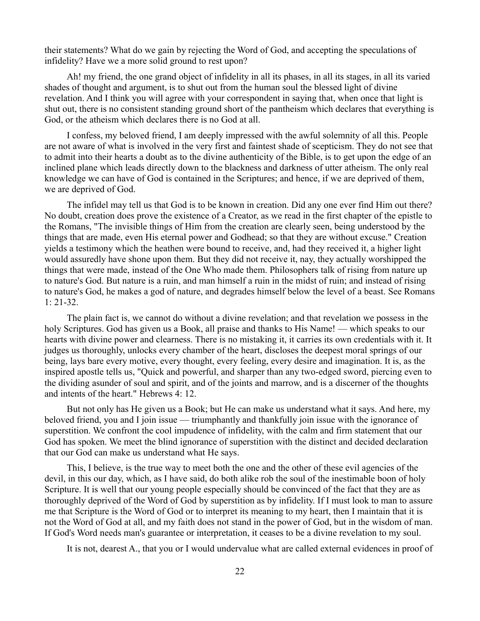their statements? What do we gain by rejecting the Word of God, and accepting the speculations of infidelity? Have we a more solid ground to rest upon?

Ah! my friend, the one grand object of infidelity in all its phases, in all its stages, in all its varied shades of thought and argument, is to shut out from the human soul the blessed light of divine revelation. And I think you will agree with your correspondent in saying that, when once that light is shut out, there is no consistent standing ground short of the pantheism which declares that everything is God, or the atheism which declares there is no God at all.

I confess, my beloved friend, I am deeply impressed with the awful solemnity of all this. People are not aware of what is involved in the very first and faintest shade of scepticism. They do not see that to admit into their hearts a doubt as to the divine authenticity of the Bible, is to get upon the edge of an inclined plane which leads directly down to the blackness and darkness of utter atheism. The only real knowledge we can have of God is contained in the Scriptures; and hence, if we are deprived of them, we are deprived of God.

The infidel may tell us that God is to be known in creation. Did any one ever find Him out there? No doubt, creation does prove the existence of a Creator, as we read in the first chapter of the epistle to the Romans, "The invisible things of Him from the creation are clearly seen, being understood by the things that are made, even His eternal power and Godhead; so that they are without excuse." Creation yields a testimony which the heathen were bound to receive, and, had they received it, a higher light would assuredly have shone upon them. But they did not receive it, nay, they actually worshipped the things that were made, instead of the One Who made them. Philosophers talk of rising from nature up to nature's God. But nature is a ruin, and man himself a ruin in the midst of ruin; and instead of rising to nature's God, he makes a god of nature, and degrades himself below the level of a beast. See Romans 1: 21-32.

The plain fact is, we cannot do without a divine revelation; and that revelation we possess in the holy Scriptures. God has given us a Book, all praise and thanks to His Name! — which speaks to our hearts with divine power and clearness. There is no mistaking it, it carries its own credentials with it. It judges us thoroughly, unlocks every chamber of the heart, discloses the deepest moral springs of our being, lays bare every motive, every thought, every feeling, every desire and imagination. It is, as the inspired apostle tells us, "Quick and powerful, and sharper than any two-edged sword, piercing even to the dividing asunder of soul and spirit, and of the joints and marrow, and is a discerner of the thoughts and intents of the heart." Hebrews 4: 12.

But not only has He given us a Book; but He can make us understand what it says. And here, my beloved friend, you and I join issue — triumphantly and thankfully join issue with the ignorance of superstition. We confront the cool impudence of infidelity, with the calm and firm statement that our God has spoken. We meet the blind ignorance of superstition with the distinct and decided declaration that our God can make us understand what He says.

This, I believe, is the true way to meet both the one and the other of these evil agencies of the devil, in this our day, which, as I have said, do both alike rob the soul of the inestimable boon of holy Scripture. It is well that our young people especially should be convinced of the fact that they are as thoroughly deprived of the Word of God by superstition as by infidelity. If I must look to man to assure me that Scripture is the Word of God or to interpret its meaning to my heart, then I maintain that it is not the Word of God at all, and my faith does not stand in the power of God, but in the wisdom of man. If God's Word needs man's guarantee or interpretation, it ceases to be a divine revelation to my soul.

It is not, dearest A., that you or I would undervalue what are called external evidences in proof of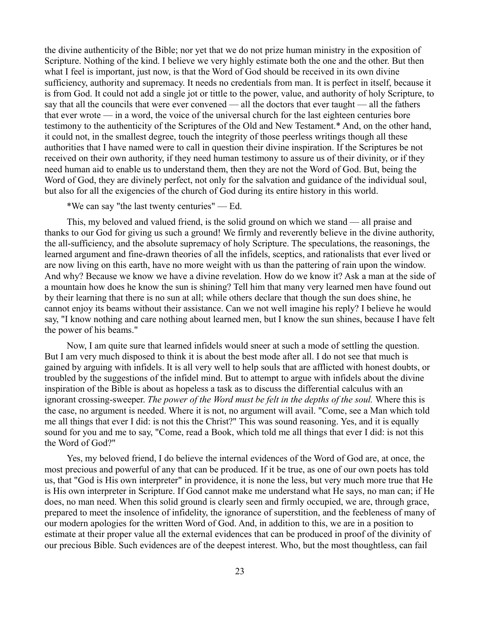the divine authenticity of the Bible; nor yet that we do not prize human ministry in the exposition of Scripture. Nothing of the kind. I believe we very highly estimate both the one and the other. But then what I feel is important, just now, is that the Word of God should be received in its own divine sufficiency, authority and supremacy. It needs no credentials from man. It is perfect in itself, because it is from God. It could not add a single jot or tittle to the power, value, and authority of holy Scripture, to say that all the councils that were ever convened — all the doctors that ever taught — all the fathers that ever wrote — in a word, the voice of the universal church for the last eighteen centuries bore testimony to the authenticity of the Scriptures of the Old and New Testament.\* And, on the other hand, it could not, in the smallest degree, touch the integrity of those peerless writings though all these authorities that I have named were to call in question their divine inspiration. If the Scriptures be not received on their own authority, if they need human testimony to assure us of their divinity, or if they need human aid to enable us to understand them, then they are not the Word of God. But, being the Word of God, they are divinely perfect, not only for the salvation and guidance of the individual soul, but also for all the exigencies of the church of God during its entire history in this world.

\*We can say "the last twenty centuries" — Ed.

This, my beloved and valued friend, is the solid ground on which we stand — all praise and thanks to our God for giving us such a ground! We firmly and reverently believe in the divine authority, the all-sufficiency, and the absolute supremacy of holy Scripture. The speculations, the reasonings, the learned argument and fine-drawn theories of all the infidels, sceptics, and rationalists that ever lived or are now living on this earth, have no more weight with us than the pattering of rain upon the window. And why? Because we know we have a divine revelation. How do we know it? Ask a man at the side of a mountain how does he know the sun is shining? Tell him that many very learned men have found out by their learning that there is no sun at all; while others declare that though the sun does shine, he cannot enjoy its beams without their assistance. Can we not well imagine his reply? I believe he would say, "I know nothing and care nothing about learned men, but I know the sun shines, because I have felt the power of his beams."

Now, I am quite sure that learned infidels would sneer at such a mode of settling the question. But I am very much disposed to think it is about the best mode after all. I do not see that much is gained by arguing with infidels. It is all very well to help souls that are afflicted with honest doubts, or troubled by the suggestions of the infidel mind. But to attempt to argue with infidels about the divine inspiration of the Bible is about as hopeless a task as to discuss the differential calculus with an ignorant crossing-sweeper. *The power of the Word must be felt in the depths of the soul.* Where this is the case, no argument is needed. Where it is not, no argument will avail. "Come, see a Man which told me all things that ever I did: is not this the Christ?" This was sound reasoning. Yes, and it is equally sound for you and me to say, "Come, read a Book, which told me all things that ever I did: is not this the Word of God?"

Yes, my beloved friend, I do believe the internal evidences of the Word of God are, at once, the most precious and powerful of any that can be produced. If it be true, as one of our own poets has told us, that "God is His own interpreter" in providence, it is none the less, but very much more true that He is His own interpreter in Scripture. If God cannot make me understand what He says, no man can; if He does, no man need. When this solid ground is clearly seen and firmly occupied, we are, through grace, prepared to meet the insolence of infidelity, the ignorance of superstition, and the feebleness of many of our modern apologies for the written Word of God. And, in addition to this, we are in a position to estimate at their proper value all the external evidences that can be produced in proof of the divinity of our precious Bible. Such evidences are of the deepest interest. Who, but the most thoughtless, can fail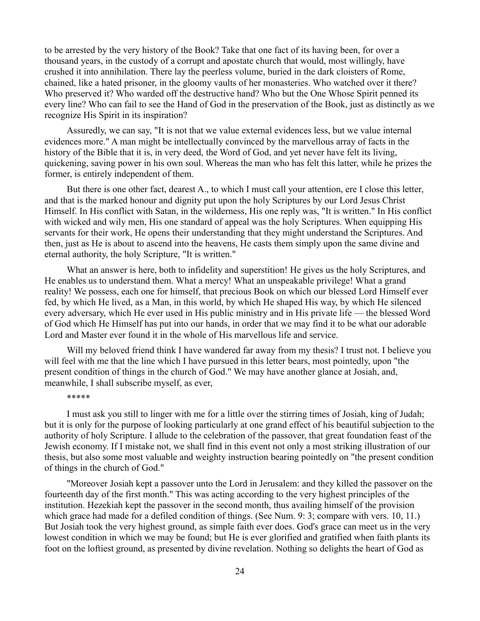to be arrested by the very history of the Book? Take that one fact of its having been, for over a thousand years, in the custody of a corrupt and apostate church that would, most willingly, have crushed it into annihilation. There lay the peerless volume, buried in the dark cloisters of Rome, chained, like a hated prisoner, in the gloomy vaults of her monasteries. Who watched over it there? Who preserved it? Who warded off the destructive hand? Who but the One Whose Spirit penned its every line? Who can fail to see the Hand of God in the preservation of the Book, just as distinctly as we recognize His Spirit in its inspiration?

Assuredly, we can say, "It is not that we value external evidences less, but we value internal evidences more." A man might be intellectually convinced by the marvellous array of facts in the history of the Bible that it is, in very deed, the Word of God, and yet never have felt its living, quickening, saving power in his own soul. Whereas the man who has felt this latter, while he prizes the former, is entirely independent of them.

But there is one other fact, dearest A., to which I must call your attention, ere I close this letter, and that is the marked honour and dignity put upon the holy Scriptures by our Lord Jesus Christ Himself. In His conflict with Satan, in the wilderness, His one reply was, "It is written." In His conflict with wicked and wily men, His one standard of appeal was the holy Scriptures. When equipping His servants for their work, He opens their understanding that they might understand the Scriptures. And then, just as He is about to ascend into the heavens, He casts them simply upon the same divine and eternal authority, the holy Scripture, "It is written."

What an answer is here, both to infidelity and superstition! He gives us the holy Scriptures, and He enables us to understand them. What a mercy! What an unspeakable privilege! What a grand reality! We possess, each one for himself, that precious Book on which our blessed Lord Himself ever fed, by which He lived, as a Man, in this world, by which He shaped His way, by which He silenced every adversary, which He ever used in His public ministry and in His private life — the blessed Word of God which He Himself has put into our hands, in order that we may find it to be what our adorable Lord and Master ever found it in the whole of His marvellous life and service.

Will my beloved friend think I have wandered far away from my thesis? I trust not. I believe you will feel with me that the line which I have pursued in this letter bears, most pointedly, upon "the present condition of things in the church of God." We may have another glance at Josiah, and, meanwhile, I shall subscribe myself, as ever,

#### \*\*\*\*\*

I must ask you still to linger with me for a little over the stirring times of Josiah, king of Judah; but it is only for the purpose of looking particularly at one grand effect of his beautiful subjection to the authority of holy Scripture. I allude to the celebration of the passover, that great foundation feast of the Jewish economy. If I mistake not, we shall find in this event not only a most striking illustration of our thesis, but also some most valuable and weighty instruction bearing pointedly on "the present condition of things in the church of God."

"Moreover Josiah kept a passover unto the Lord in Jerusalem: and they killed the passover on the fourteenth day of the first month." This was acting according to the very highest principles of the institution. Hezekiah kept the passover in the second month, thus availing himself of the provision which grace had made for a defiled condition of things. (See Num. 9: 3; compare with vers. 10, 11.) But Josiah took the very highest ground, as simple faith ever does. God's grace can meet us in the very lowest condition in which we may be found; but He is ever glorified and gratified when faith plants its foot on the loftiest ground, as presented by divine revelation. Nothing so delights the heart of God as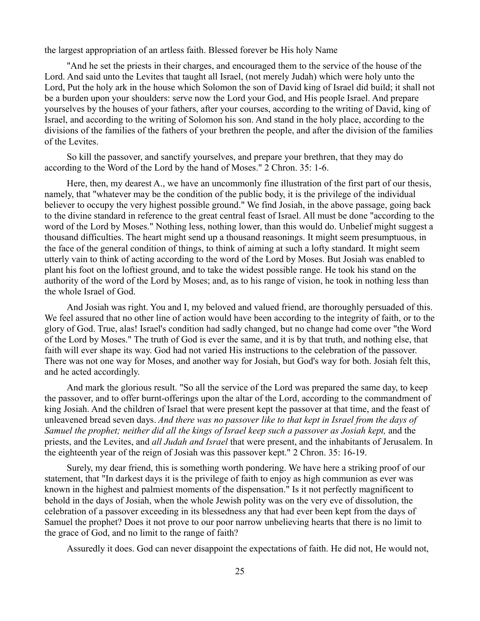the largest appropriation of an artless faith. Blessed forever be His holy Name

"And he set the priests in their charges, and encouraged them to the service of the house of the Lord. And said unto the Levites that taught all Israel, (not merely Judah) which were holy unto the Lord, Put the holy ark in the house which Solomon the son of David king of Israel did build; it shall not be a burden upon your shoulders: serve now the Lord your God, and His people Israel. And prepare yourselves by the houses of your fathers, after your courses, according to the writing of David, king of Israel, and according to the writing of Solomon his son. And stand in the holy place, according to the divisions of the families of the fathers of your brethren the people, and after the division of the families of the Levites.

So kill the passover, and sanctify yourselves, and prepare your brethren, that they may do according to the Word of the Lord by the hand of Moses." 2 Chron. 35: 1-6.

Here, then, my dearest A., we have an uncommonly fine illustration of the first part of our thesis, namely, that "whatever may be the condition of the public body, it is the privilege of the individual believer to occupy the very highest possible ground." We find Josiah, in the above passage, going back to the divine standard in reference to the great central feast of Israel. All must be done "according to the word of the Lord by Moses." Nothing less, nothing lower, than this would do. Unbelief might suggest a thousand difficulties. The heart might send up a thousand reasonings. It might seem presumptuous, in the face of the general condition of things, to think of aiming at such a lofty standard. It might seem utterly vain to think of acting according to the word of the Lord by Moses. But Josiah was enabled to plant his foot on the loftiest ground, and to take the widest possible range. He took his stand on the authority of the word of the Lord by Moses; and, as to his range of vision, he took in nothing less than the whole Israel of God.

And Josiah was right. You and I, my beloved and valued friend, are thoroughly persuaded of this. We feel assured that no other line of action would have been according to the integrity of faith, or to the glory of God. True, alas! Israel's condition had sadly changed, but no change had come over "the Word of the Lord by Moses." The truth of God is ever the same, and it is by that truth, and nothing else, that faith will ever shape its way. God had not varied His instructions to the celebration of the passover. There was not one way for Moses, and another way for Josiah, but God's way for both. Josiah felt this, and he acted accordingly.

And mark the glorious result. "So all the service of the Lord was prepared the same day, to keep the passover, and to offer burnt-offerings upon the altar of the Lord, according to the commandment of king Josiah. And the children of Israel that were present kept the passover at that time, and the feast of unleavened bread seven days. *And there was no passover like to that kept in Israel from the days of Samuel the prophet; neither did all the kings of Israel keep such a passover as Josiah kept,* and the priests, and the Levites, and *all Judah and Israel* that were present, and the inhabitants of Jerusalem. In the eighteenth year of the reign of Josiah was this passover kept." 2 Chron. 35: 16-19.

Surely, my dear friend, this is something worth pondering. We have here a striking proof of our statement, that "In darkest days it is the privilege of faith to enjoy as high communion as ever was known in the highest and palmiest moments of the dispensation." Is it not perfectly magnificent to behold in the days of Josiah, when the whole Jewish polity was on the very eve of dissolution, the celebration of a passover exceeding in its blessedness any that had ever been kept from the days of Samuel the prophet? Does it not prove to our poor narrow unbelieving hearts that there is no limit to the grace of God, and no limit to the range of faith?

Assuredly it does. God can never disappoint the expectations of faith. He did not, He would not,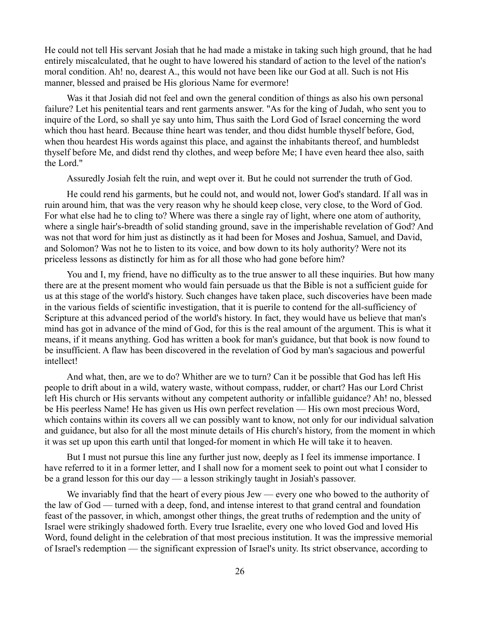He could not tell His servant Josiah that he had made a mistake in taking such high ground, that he had entirely miscalculated, that he ought to have lowered his standard of action to the level of the nation's moral condition. Ah! no, dearest A., this would not have been like our God at all. Such is not His manner, blessed and praised be His glorious Name for evermore!

Was it that Josiah did not feel and own the general condition of things as also his own personal failure? Let his penitential tears and rent garments answer. "As for the king of Judah, who sent you to inquire of the Lord, so shall ye say unto him, Thus saith the Lord God of Israel concerning the word which thou hast heard. Because thine heart was tender, and thou didst humble thyself before, God, when thou heardest His words against this place, and against the inhabitants thereof, and humbledst thyself before Me, and didst rend thy clothes, and weep before Me; I have even heard thee also, saith the Lord."

Assuredly Josiah felt the ruin, and wept over it. But he could not surrender the truth of God.

He could rend his garments, but he could not, and would not, lower God's standard. If all was in ruin around him, that was the very reason why he should keep close, very close, to the Word of God. For what else had he to cling to? Where was there a single ray of light, where one atom of authority, where a single hair's-breadth of solid standing ground, save in the imperishable revelation of God? And was not that word for him just as distinctly as it had been for Moses and Joshua, Samuel, and David, and Solomon? Was not he to listen to its voice, and bow down to its holy authority? Were not its priceless lessons as distinctly for him as for all those who had gone before him?

You and I, my friend, have no difficulty as to the true answer to all these inquiries. But how many there are at the present moment who would fain persuade us that the Bible is not a sufficient guide for us at this stage of the world's history. Such changes have taken place, such discoveries have been made in the various fields of scientific investigation, that it is puerile to contend for the all-sufficiency of Scripture at this advanced period of the world's history. In fact, they would have us believe that man's mind has got in advance of the mind of God, for this is the real amount of the argument. This is what it means, if it means anything. God has written a book for man's guidance, but that book is now found to be insufficient. A flaw has been discovered in the revelation of God by man's sagacious and powerful intellect!

And what, then, are we to do? Whither are we to turn? Can it be possible that God has left His people to drift about in a wild, watery waste, without compass, rudder, or chart? Has our Lord Christ left His church or His servants without any competent authority or infallible guidance? Ah! no, blessed be His peerless Name! He has given us His own perfect revelation — His own most precious Word, which contains within its covers all we can possibly want to know, not only for our individual salvation and guidance, but also for all the most minute details of His church's history, from the moment in which it was set up upon this earth until that longed-for moment in which He will take it to heaven.

But I must not pursue this line any further just now, deeply as I feel its immense importance. I have referred to it in a former letter, and I shall now for a moment seek to point out what I consider to be a grand lesson for this our day — a lesson strikingly taught in Josiah's passover.

We invariably find that the heart of every pious Jew — every one who bowed to the authority of the law of God — turned with a deep, fond, and intense interest to that grand central and foundation feast of the passover, in which, amongst other things, the great truths of redemption and the unity of Israel were strikingly shadowed forth. Every true Israelite, every one who loved God and loved His Word, found delight in the celebration of that most precious institution. It was the impressive memorial of Israel's redemption — the significant expression of Israel's unity. Its strict observance, according to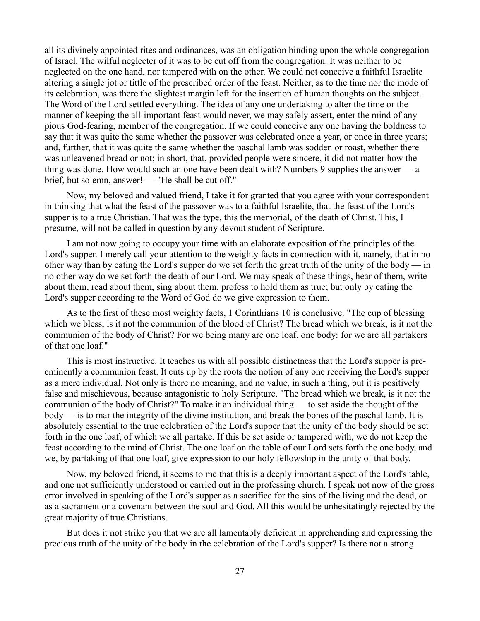all its divinely appointed rites and ordinances, was an obligation binding upon the whole congregation of Israel. The wilful neglecter of it was to be cut off from the congregation. It was neither to be neglected on the one hand, nor tampered with on the other. We could not conceive a faithful Israelite altering a single jot or tittle of the prescribed order of the feast. Neither, as to the time nor the mode of its celebration, was there the slightest margin left for the insertion of human thoughts on the subject. The Word of the Lord settled everything. The idea of any one undertaking to alter the time or the manner of keeping the all-important feast would never, we may safely assert, enter the mind of any pious God-fearing, member of the congregation. If we could conceive any one having the boldness to say that it was quite the same whether the passover was celebrated once a year, or once in three years; and, further, that it was quite the same whether the paschal lamb was sodden or roast, whether there was unleavened bread or not; in short, that, provided people were sincere, it did not matter how the thing was done. How would such an one have been dealt with? Numbers 9 supplies the answer — a brief, but solemn, answer! — "He shall be cut off."

Now, my beloved and valued friend, I take it for granted that you agree with your correspondent in thinking that what the feast of the passover was to a faithful Israelite, that the feast of the Lord's supper is to a true Christian. That was the type, this the memorial, of the death of Christ. This, I presume, will not be called in question by any devout student of Scripture.

I am not now going to occupy your time with an elaborate exposition of the principles of the Lord's supper. I merely call your attention to the weighty facts in connection with it, namely, that in no other way than by eating the Lord's supper do we set forth the great truth of the unity of the body — in no other way do we set forth the death of our Lord. We may speak of these things, hear of them, write about them, read about them, sing about them, profess to hold them as true; but only by eating the Lord's supper according to the Word of God do we give expression to them.

As to the first of these most weighty facts, 1 Corinthians 10 is conclusive. "The cup of blessing which we bless, is it not the communion of the blood of Christ? The bread which we break, is it not the communion of the body of Christ? For we being many are one loaf, one body: for we are all partakers of that one loaf."

This is most instructive. It teaches us with all possible distinctness that the Lord's supper is preeminently a communion feast. It cuts up by the roots the notion of any one receiving the Lord's supper as a mere individual. Not only is there no meaning, and no value, in such a thing, but it is positively false and mischievous, because antagonistic to holy Scripture. "The bread which we break, is it not the communion of the body of Christ?" To make it an individual thing — to set aside the thought of the body — is to mar the integrity of the divine institution, and break the bones of the paschal lamb. It is absolutely essential to the true celebration of the Lord's supper that the unity of the body should be set forth in the one loaf, of which we all partake. If this be set aside or tampered with, we do not keep the feast according to the mind of Christ. The one loaf on the table of our Lord sets forth the one body, and we, by partaking of that one loaf, give expression to our holy fellowship in the unity of that body.

Now, my beloved friend, it seems to me that this is a deeply important aspect of the Lord's table, and one not sufficiently understood or carried out in the professing church. I speak not now of the gross error involved in speaking of the Lord's supper as a sacrifice for the sins of the living and the dead, or as a sacrament or a covenant between the soul and God. All this would be unhesitatingly rejected by the great majority of true Christians.

But does it not strike you that we are all lamentably deficient in apprehending and expressing the precious truth of the unity of the body in the celebration of the Lord's supper? Is there not a strong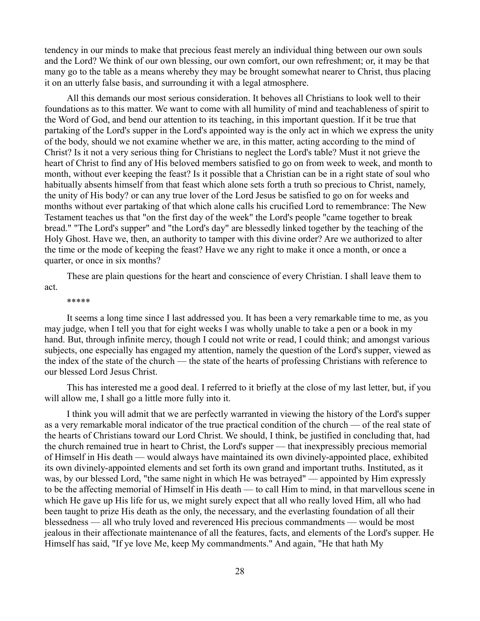tendency in our minds to make that precious feast merely an individual thing between our own souls and the Lord? We think of our own blessing, our own comfort, our own refreshment; or, it may be that many go to the table as a means whereby they may be brought somewhat nearer to Christ, thus placing it on an utterly false basis, and surrounding it with a legal atmosphere.

All this demands our most serious consideration. It behoves all Christians to look well to their foundations as to this matter. We want to come with all humility of mind and teachableness of spirit to the Word of God, and bend our attention to its teaching, in this important question. If it be true that partaking of the Lord's supper in the Lord's appointed way is the only act in which we express the unity of the body, should we not examine whether we are, in this matter, acting according to the mind of Christ? Is it not a very serious thing for Christians to neglect the Lord's table? Must it not grieve the heart of Christ to find any of His beloved members satisfied to go on from week to week, and month to month, without ever keeping the feast? Is it possible that a Christian can be in a right state of soul who habitually absents himself from that feast which alone sets forth a truth so precious to Christ, namely, the unity of His body? or can any true lover of the Lord Jesus be satisfied to go on for weeks and months without ever partaking of that which alone calls his crucified Lord to remembrance: The New Testament teaches us that "on the first day of the week" the Lord's people "came together to break bread." "The Lord's supper" and "the Lord's day" are blessedly linked together by the teaching of the Holy Ghost. Have we, then, an authority to tamper with this divine order? Are we authorized to alter the time or the mode of keeping the feast? Have we any right to make it once a month, or once a quarter, or once in six months?

These are plain questions for the heart and conscience of every Christian. I shall leave them to act.

\*\*\*\*\*

It seems a long time since I last addressed you. It has been a very remarkable time to me, as you may judge, when I tell you that for eight weeks I was wholly unable to take a pen or a book in my hand. But, through infinite mercy, though I could not write or read, I could think; and amongst various subjects, one especially has engaged my attention, namely the question of the Lord's supper, viewed as the index of the state of the church — the state of the hearts of professing Christians with reference to our blessed Lord Jesus Christ.

This has interested me a good deal. I referred to it briefly at the close of my last letter, but, if you will allow me, I shall go a little more fully into it.

I think you will admit that we are perfectly warranted in viewing the history of the Lord's supper as a very remarkable moral indicator of the true practical condition of the church — of the real state of the hearts of Christians toward our Lord Christ. We should, I think, be justified in concluding that, had the church remained true in heart to Christ, the Lord's supper — that inexpressibly precious memorial of Himself in His death — would always have maintained its own divinely-appointed place, exhibited its own divinely-appointed elements and set forth its own grand and important truths. Instituted, as it was, by our blessed Lord, "the same night in which He was betrayed" — appointed by Him expressly to be the affecting memorial of Himself in His death — to call Him to mind, in that marvellous scene in which He gave up His life for us, we might surely expect that all who really loved Him, all who had been taught to prize His death as the only, the necessary, and the everlasting foundation of all their blessedness — all who truly loved and reverenced His precious commandments — would be most jealous in their affectionate maintenance of all the features, facts, and elements of the Lord's supper. He Himself has said, "If ye love Me, keep My commandments." And again, "He that hath My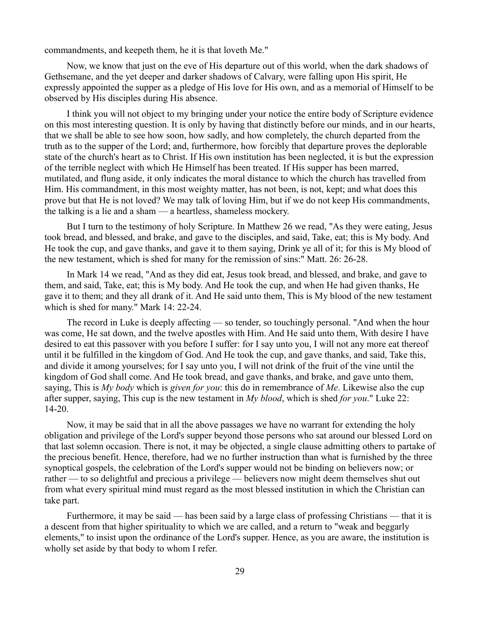commandments, and keepeth them, he it is that loveth Me."

Now, we know that just on the eve of His departure out of this world, when the dark shadows of Gethsemane, and the yet deeper and darker shadows of Calvary, were falling upon His spirit, He expressly appointed the supper as a pledge of His love for His own, and as a memorial of Himself to be observed by His disciples during His absence.

I think you will not object to my bringing under your notice the entire body of Scripture evidence on this most interesting question. It is only by having that distinctly before our minds, and in our hearts, that we shall be able to see how soon, how sadly, and how completely, the church departed from the truth as to the supper of the Lord; and, furthermore, how forcibly that departure proves the deplorable state of the church's heart as to Christ. If His own institution has been neglected, it is but the expression of the terrible neglect with which He Himself has been treated. If His supper has been marred, mutilated, and flung aside, it only indicates the moral distance to which the church has travelled from Him. His commandment, in this most weighty matter, has not been, is not, kept; and what does this prove but that He is not loved? We may talk of loving Him, but if we do not keep His commandments, the talking is a lie and a sham — a heartless, shameless mockery.

But I turn to the testimony of holy Scripture. In Matthew 26 we read, "As they were eating, Jesus took bread, and blessed, and brake, and gave to the disciples, and said, Take, eat; this is My body. And He took the cup, and gave thanks, and gave it to them saying, Drink ye all of it; for this is My blood of the new testament, which is shed for many for the remission of sins:" Matt. 26: 26-28.

In Mark 14 we read, "And as they did eat, Jesus took bread, and blessed, and brake, and gave to them, and said, Take, eat; this is My body. And He took the cup, and when He had given thanks, He gave it to them; and they all drank of it. And He said unto them, This is My blood of the new testament which is shed for many." Mark 14: 22-24.

The record in Luke is deeply affecting — so tender, so touchingly personal. "And when the hour was come, He sat down, and the twelve apostles with Him. And He said unto them, With desire I have desired to eat this passover with you before I suffer: for I say unto you, I will not any more eat thereof until it be fulfilled in the kingdom of God. And He took the cup, and gave thanks, and said, Take this, and divide it among yourselves; for I say unto you, I will not drink of the fruit of the vine until the kingdom of God shall come. And He took bread, and gave thanks, and brake, and gave unto them, saying, This is *My body* which is *given for you*: this do in remembrance of *Me*. Likewise also the cup after supper, saying, This cup is the new testament in *My blood*, which is shed *for you*." Luke 22: 14-20.

Now, it may be said that in all the above passages we have no warrant for extending the holy obligation and privilege of the Lord's supper beyond those persons who sat around our blessed Lord on that last solemn occasion. There is not, it may be objected, a single clause admitting others to partake of the precious benefit. Hence, therefore, had we no further instruction than what is furnished by the three synoptical gospels, the celebration of the Lord's supper would not be binding on believers now; or rather — to so delightful and precious a privilege — believers now might deem themselves shut out from what every spiritual mind must regard as the most blessed institution in which the Christian can take part.

Furthermore, it may be said — has been said by a large class of professing Christians — that it is a descent from that higher spirituality to which we are called, and a return to "weak and beggarly elements," to insist upon the ordinance of the Lord's supper. Hence, as you are aware, the institution is wholly set aside by that body to whom I refer.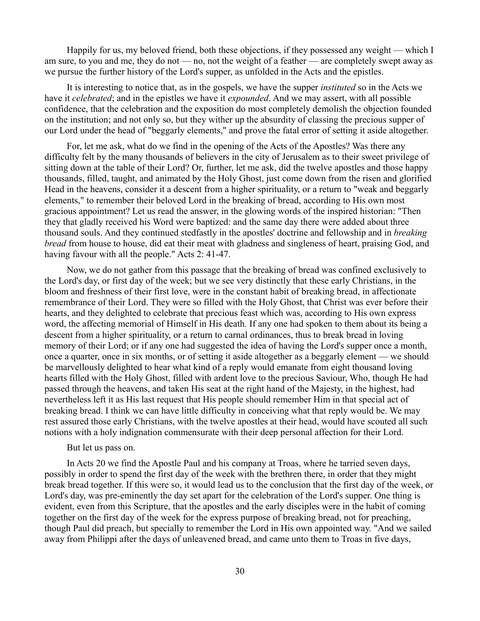Happily for us, my beloved friend, both these objections, if they possessed any weight — which I am sure, to you and me, they do not — no, not the weight of a feather — are completely swept away as we pursue the further history of the Lord's supper, as unfolded in the Acts and the epistles.

It is interesting to notice that, as in the gospels, we have the supper *instituted* so in the Acts we have it *celebrated*; and in the epistles we have it *expounded*. And we may assert, with all possible confidence, that the celebration and the exposition do most completely demolish the objection founded on the institution; and not only so, but they wither up the absurdity of classing the precious supper of our Lord under the head of "beggarly elements," and prove the fatal error of setting it aside altogether.

For, let me ask, what do we find in the opening of the Acts of the Apostles? Was there any difficulty felt by the many thousands of believers in the city of Jerusalem as to their sweet privilege of sitting down at the table of their Lord? Or, further, let me ask, did the twelve apostles and those happy thousands, filled, taught, and animated by the Holy Ghost, just come down from the risen and glorified Head in the heavens, consider it a descent from a higher spirituality, or a return to "weak and beggarly elements," to remember their beloved Lord in the breaking of bread, according to His own most gracious appointment? Let us read the answer, in the glowing words of the inspired historian: "Then they that gladly received his Word were baptized: and the same day there were added about three thousand souls. And they continued stedfastly in the apostles' doctrine and fellowship and in *breaking bread* from house to house, did eat their meat with gladness and singleness of heart, praising God, and having favour with all the people." Acts 2: 41-47.

Now, we do not gather from this passage that the breaking of bread was confined exclusively to the Lord's day, or first day of the week; but we see very distinctly that these early Christians, in the bloom and freshness of their first love, were in the constant habit of breaking bread, in affectionate remembrance of their Lord. They were so filled with the Holy Ghost, that Christ was ever before their hearts, and they delighted to celebrate that precious feast which was, according to His own express word, the affecting memorial of Himself in His death. If any one had spoken to them about its being a descent from a higher spirituality, or a return to carnal ordinances, thus to break bread in loving memory of their Lord; or if any one had suggested the idea of having the Lord's supper once a month, once a quarter, once in six months, or of setting it aside altogether as a beggarly element — we should be marvellously delighted to hear what kind of a reply would emanate from eight thousand loving hearts filled with the Holy Ghost, filled with ardent love to the precious Saviour, Who, though He had passed through the heavens, and taken His seat at the right hand of the Majesty, in the highest, had nevertheless left it as His last request that His people should remember Him in that special act of breaking bread. I think we can have little difficulty in conceiving what that reply would be. We may rest assured those early Christians, with the twelve apostles at their head, would have scouted all such notions with a holy indignation commensurate with their deep personal affection for their Lord.

### But let us pass on.

In Acts 20 we find the Apostle Paul and his company at Troas, where he tarried seven days, possibly in order to spend the first day of the week with the brethren there, in order that they might break bread together. If this were so, it would lead us to the conclusion that the first day of the week, or Lord's day, was pre-eminently the day set apart for the celebration of the Lord's supper. One thing is evident, even from this Scripture, that the apostles and the early disciples were in the habit of coming together on the first day of the week for the express purpose of breaking bread, not for preaching, though Paul did preach, but specially to remember the Lord in His own appointed way. "And we sailed away from Philippi after the days of unleavened bread, and came unto them to Troas in five days,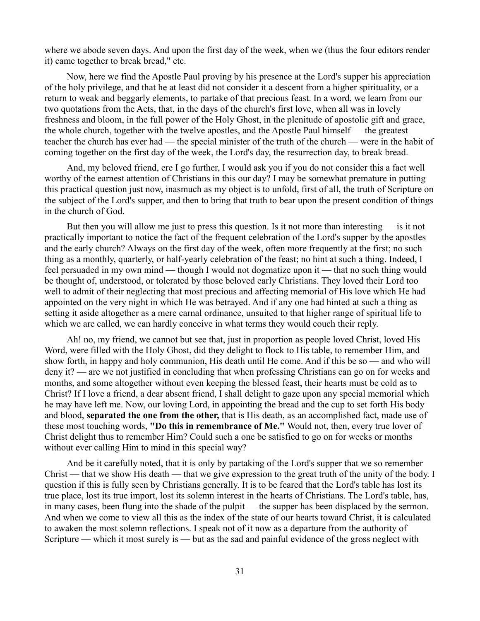where we abode seven days. And upon the first day of the week, when we (thus the four editors render it) came together to break bread," etc.

Now, here we find the Apostle Paul proving by his presence at the Lord's supper his appreciation of the holy privilege, and that he at least did not consider it a descent from a higher spirituality, or a return to weak and beggarly elements, to partake of that precious feast. In a word, we learn from our two quotations from the Acts, that, in the days of the church's first love, when all was in lovely freshness and bloom, in the full power of the Holy Ghost, in the plenitude of apostolic gift and grace, the whole church, together with the twelve apostles, and the Apostle Paul himself — the greatest teacher the church has ever had — the special minister of the truth of the church — were in the habit of coming together on the first day of the week, the Lord's day, the resurrection day, to break bread.

And, my beloved friend, ere I go further, I would ask you if you do not consider this a fact well worthy of the earnest attention of Christians in this our day? I may be somewhat premature in putting this practical question just now, inasmuch as my object is to unfold, first of all, the truth of Scripture on the subject of the Lord's supper, and then to bring that truth to bear upon the present condition of things in the church of God.

But then you will allow me just to press this question. Is it not more than interesting — is it not practically important to notice the fact of the frequent celebration of the Lord's supper by the apostles and the early church? Always on the first day of the week, often more frequently at the first; no such thing as a monthly, quarterly, or half-yearly celebration of the feast; no hint at such a thing. Indeed, I feel persuaded in my own mind — though I would not dogmatize upon it — that no such thing would be thought of, understood, or tolerated by those beloved early Christians. They loved their Lord too well to admit of their neglecting that most precious and affecting memorial of His love which He had appointed on the very night in which He was betrayed. And if any one had hinted at such a thing as setting it aside altogether as a mere carnal ordinance, unsuited to that higher range of spiritual life to which we are called, we can hardly conceive in what terms they would couch their reply.

Ah! no, my friend, we cannot but see that, just in proportion as people loved Christ, loved His Word, were filled with the Holy Ghost, did they delight to flock to His table, to remember Him, and show forth, in happy and holy communion, His death until He come. And if this be so — and who will deny it? — are we not justified in concluding that when professing Christians can go on for weeks and months, and some altogether without even keeping the blessed feast, their hearts must be cold as to Christ? If I love a friend, a dear absent friend, I shall delight to gaze upon any special memorial which he may have left me. Now, our loving Lord, in appointing the bread and the cup to set forth His body and blood, **separated the one from the other,** that is His death, as an accomplished fact, made use of these most touching words, **"Do this in remembrance of Me."** Would not, then, every true lover of Christ delight thus to remember Him? Could such a one be satisfied to go on for weeks or months without ever calling Him to mind in this special way?

And be it carefully noted, that it is only by partaking of the Lord's supper that we so remember Christ — that we show His death — that we give expression to the great truth of the unity of the body. I question if this is fully seen by Christians generally. It is to be feared that the Lord's table has lost its true place, lost its true import, lost its solemn interest in the hearts of Christians. The Lord's table, has, in many cases, been flung into the shade of the pulpit — the supper has been displaced by the sermon. And when we come to view all this as the index of the state of our hearts toward Christ, it is calculated to awaken the most solemn reflections. I speak not of it now as a departure from the authority of Scripture — which it most surely is — but as the sad and painful evidence of the gross neglect with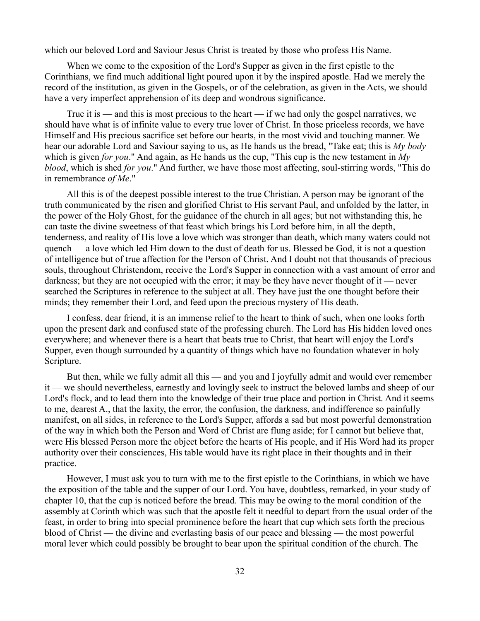which our beloved Lord and Saviour Jesus Christ is treated by those who profess His Name.

When we come to the exposition of the Lord's Supper as given in the first epistle to the Corinthians, we find much additional light poured upon it by the inspired apostle. Had we merely the record of the institution, as given in the Gospels, or of the celebration, as given in the Acts, we should have a very imperfect apprehension of its deep and wondrous significance.

True it is — and this is most precious to the heart — if we had only the gospel narratives, we should have what is of infinite value to every true lover of Christ. In those priceless records, we have Himself and His precious sacrifice set before our hearts, in the most vivid and touching manner. We hear our adorable Lord and Saviour saying to us, as He hands us the bread, "Take eat; this is *My body* which is given *for you*." And again, as He hands us the cup, "This cup is the new testament in *My blood*, which is shed *for you*." And further, we have those most affecting, soul-stirring words, "This do in remembrance *of Me*."

All this is of the deepest possible interest to the true Christian. A person may be ignorant of the truth communicated by the risen and glorified Christ to His servant Paul, and unfolded by the latter, in the power of the Holy Ghost, for the guidance of the church in all ages; but not withstanding this, he can taste the divine sweetness of that feast which brings his Lord before him, in all the depth, tenderness, and reality of His love a love which was stronger than death, which many waters could not quench — a love which led Him down to the dust of death for us. Blessed be God, it is not a question of intelligence but of true affection for the Person of Christ. And I doubt not that thousands of precious souls, throughout Christendom, receive the Lord's Supper in connection with a vast amount of error and darkness; but they are not occupied with the error; it may be they have never thought of it — never searched the Scriptures in reference to the subject at all. They have just the one thought before their minds; they remember their Lord, and feed upon the precious mystery of His death.

I confess, dear friend, it is an immense relief to the heart to think of such, when one looks forth upon the present dark and confused state of the professing church. The Lord has His hidden loved ones everywhere; and whenever there is a heart that beats true to Christ, that heart will enjoy the Lord's Supper, even though surrounded by a quantity of things which have no foundation whatever in holy Scripture.

But then, while we fully admit all this — and you and I joyfully admit and would ever remember it — we should nevertheless, earnestly and lovingly seek to instruct the beloved lambs and sheep of our Lord's flock, and to lead them into the knowledge of their true place and portion in Christ. And it seems to me, dearest A., that the laxity, the error, the confusion, the darkness, and indifference so painfully manifest, on all sides, in reference to the Lord's Supper, affords a sad but most powerful demonstration of the way in which both the Person and Word of Christ are flung aside; for I cannot but believe that, were His blessed Person more the object before the hearts of His people, and if His Word had its proper authority over their consciences, His table would have its right place in their thoughts and in their practice.

However, I must ask you to turn with me to the first epistle to the Corinthians, in which we have the exposition of the table and the supper of our Lord. You have, doubtless, remarked, in your study of chapter 10, that the cup is noticed before the bread. This may be owing to the moral condition of the assembly at Corinth which was such that the apostle felt it needful to depart from the usual order of the feast, in order to bring into special prominence before the heart that cup which sets forth the precious blood of Christ — the divine and everlasting basis of our peace and blessing — the most powerful moral lever which could possibly be brought to bear upon the spiritual condition of the church. The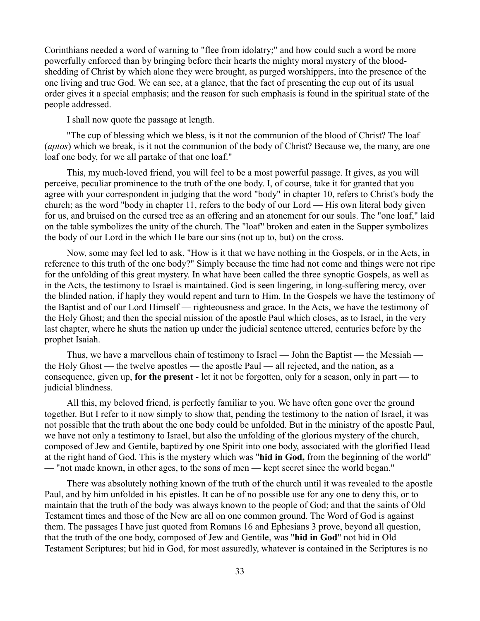Corinthians needed a word of warning to "flee from idolatry;" and how could such a word be more powerfully enforced than by bringing before their hearts the mighty moral mystery of the bloodshedding of Christ by which alone they were brought, as purged worshippers, into the presence of the one living and true God. We can see, at a glance, that the fact of presenting the cup out of its usual order gives it a special emphasis; and the reason for such emphasis is found in the spiritual state of the people addressed.

I shall now quote the passage at length.

"The cup of blessing which we bless, is it not the communion of the blood of Christ? The loaf (*aptos*) which we break, is it not the communion of the body of Christ? Because we, the many, are one loaf one body, for we all partake of that one loaf."

This, my much-loved friend, you will feel to be a most powerful passage. It gives, as you will perceive, peculiar prominence to the truth of the one body. I, of course, take it for granted that you agree with your correspondent in judging that the word "body" in chapter 10, refers to Christ's body the church; as the word "body in chapter 11, refers to the body of our Lord — His own literal body given for us, and bruised on the cursed tree as an offering and an atonement for our souls. The "one loaf," laid on the table symbolizes the unity of the church. The "loaf" broken and eaten in the Supper symbolizes the body of our Lord in the which He bare our sins (not up to, but) on the cross.

Now, some may feel led to ask, "How is it that we have nothing in the Gospels, or in the Acts, in reference to this truth of the one body?" Simply because the time had not come and things were not ripe for the unfolding of this great mystery. In what have been called the three synoptic Gospels, as well as in the Acts, the testimony to Israel is maintained. God is seen lingering, in long-suffering mercy, over the blinded nation, if haply they would repent and turn to Him. In the Gospels we have the testimony of the Baptist and of our Lord Himself — righteousness and grace. In the Acts, we have the testimony of the Holy Ghost; and then the special mission of the apostle Paul which closes, as to Israel, in the very last chapter, where he shuts the nation up under the judicial sentence uttered, centuries before by the prophet Isaiah.

Thus, we have a marvellous chain of testimony to Israel — John the Baptist — the Messiah the Holy Ghost — the twelve apostles — the apostle Paul — all rejected, and the nation, as a consequence, given up, **for the present** - let it not be forgotten, only for a season, only in part — to judicial blindness.

All this, my beloved friend, is perfectly familiar to you. We have often gone over the ground together. But I refer to it now simply to show that, pending the testimony to the nation of Israel, it was not possible that the truth about the one body could be unfolded. But in the ministry of the apostle Paul, we have not only a testimony to Israel, but also the unfolding of the glorious mystery of the church, composed of Jew and Gentile, baptized by one Spirit into one body, associated with the glorified Head at the right hand of God. This is the mystery which was "**hid in God,** from the beginning of the world" — "not made known, in other ages, to the sons of men — kept secret since the world began."

There was absolutely nothing known of the truth of the church until it was revealed to the apostle Paul, and by him unfolded in his epistles. It can be of no possible use for any one to deny this, or to maintain that the truth of the body was always known to the people of God; and that the saints of Old Testament times and those of the New are all on one common ground. The Word of God is against them. The passages I have just quoted from Romans 16 and Ephesians 3 prove, beyond all question, that the truth of the one body, composed of Jew and Gentile, was "**hid in God**" not hid in Old Testament Scriptures; but hid in God, for most assuredly, whatever is contained in the Scriptures is no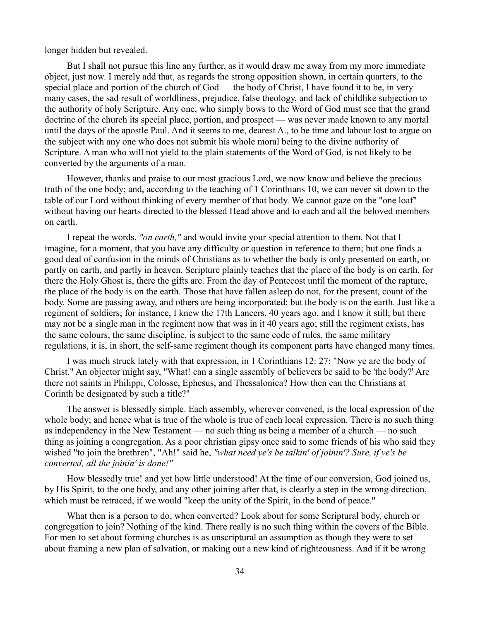longer hidden but revealed.

But I shall not pursue this line any further, as it would draw me away from my more immediate object, just now. I merely add that, as regards the strong opposition shown, in certain quarters, to the special place and portion of the church of God — the body of Christ, I have found it to be, in very many cases, the sad result of worldliness, prejudice, false theology, and lack of childlike subjection to the authority of holy Scripture. Any one, who simply bows to the Word of God must see that the grand doctrine of the church its special place, portion, and prospect — was never made known to any mortal until the days of the apostle Paul. And it seems to me, dearest A., to be time and labour lost to argue on the subject with any one who does not submit his whole moral being to the divine authority of Scripture. A man who will not yield to the plain statements of the Word of God, is not likely to be converted by the arguments of a man.

However, thanks and praise to our most gracious Lord, we now know and believe the precious truth of the one body; and, according to the teaching of 1 Corinthians 10, we can never sit down to the table of our Lord without thinking of every member of that body. We cannot gaze on the "one loaf" without having our hearts directed to the blessed Head above and to each and all the beloved members on earth.

I repeat the words, *"on earth,"* and would invite your special attention to them. Not that I imagine, for a moment, that you have any difficulty or question in reference to them; but one finds a good deal of confusion in the minds of Christians as to whether the body is only presented on earth, or partly on earth, and partly in heaven. Scripture plainly teaches that the place of the body is on earth, for there the Holy Ghost is, there the gifts are. From the day of Pentecost until the moment of the rapture, the place of the body is on the earth. Those that have fallen asleep do not, for the present, count of the body. Some are passing away, and others are being incorporated; but the body is on the earth. Just like a regiment of soldiers; for instance, I knew the 17th Lancers, 40 years ago, and I know it still; but there may not be a single man in the regiment now that was in it 40 years ago; still the regiment exists, has the same colours, the same discipline, is subject to the same code of rules, the same military regulations, it is, in short, the self-same regiment though its component parts have changed many times.

I was much struck lately with that expression, in 1 Corinthians 12: 27: "Now ye are the body of Christ." An objector might say, "What! can a single assembly of believers be said to be 'the body?' Are there not saints in Philippi, Colosse, Ephesus, and Thessalonica? How then can the Christians at Corinth be designated by such a title?"

The answer is blessedly simple. Each assembly, wherever convened, is the local expression of the whole body; and hence what is true of the whole is true of each local expression. There is no such thing as independency in the New Testament — no such thing as being a member of a church — no such thing as joining a congregation. As a poor christian gipsy once said to some friends of his who said they wished "to join the brethren", "Ah!" said he, *"what need ye's be talkin' of joinin'? Sure, if ye's be converted, all the joinin' is done!"*

How blessedly true! and yet how little understood! At the time of our conversion, God joined us, by His Spirit, to the one body, and any other joining after that, is clearly a step in the wrong direction, which must be retraced, if we would "keep the unity of the Spirit, in the bond of peace."

What then is a person to do, when converted? Look about for some Scriptural body, church or congregation to join? Nothing of the kind. There really is no such thing within the covers of the Bible. For men to set about forming churches is as unscriptural an assumption as though they were to set about framing a new plan of salvation, or making out a new kind of righteousness. And if it be wrong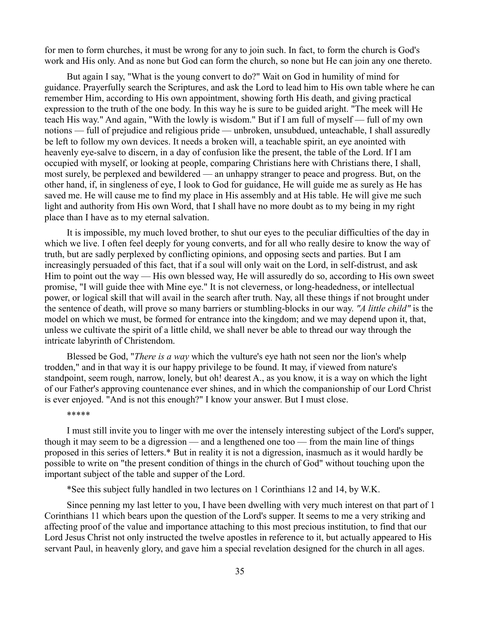for men to form churches, it must be wrong for any to join such. In fact, to form the church is God's work and His only. And as none but God can form the church, so none but He can join any one thereto.

But again I say, "What is the young convert to do?" Wait on God in humility of mind for guidance. Prayerfully search the Scriptures, and ask the Lord to lead him to His own table where he can remember Him, according to His own appointment, showing forth His death, and giving practical expression to the truth of the one body. In this way he is sure to be guided aright. "The meek will He teach His way." And again, "With the lowly is wisdom." But if I am full of myself — full of my own notions — full of prejudice and religious pride — unbroken, unsubdued, unteachable, I shall assuredly be left to follow my own devices. It needs a broken will, a teachable spirit, an eye anointed with heavenly eye-salve to discern, in a day of confusion like the present, the table of the Lord. If I am occupied with myself, or looking at people, comparing Christians here with Christians there, I shall, most surely, be perplexed and bewildered — an unhappy stranger to peace and progress. But, on the other hand, if, in singleness of eye, I look to God for guidance, He will guide me as surely as He has saved me. He will cause me to find my place in His assembly and at His table. He will give me such light and authority from His own Word, that I shall have no more doubt as to my being in my right place than I have as to my eternal salvation.

It is impossible, my much loved brother, to shut our eyes to the peculiar difficulties of the day in which we live. I often feel deeply for young converts, and for all who really desire to know the way of truth, but are sadly perplexed by conflicting opinions, and opposing sects and parties. But I am increasingly persuaded of this fact, that if a soul will only wait on the Lord, in self-distrust, and ask Him to point out the way — His own blessed way, He will assuredly do so, according to His own sweet promise, "I will guide thee with Mine eye." It is not cleverness, or long-headedness, or intellectual power, or logical skill that will avail in the search after truth. Nay, all these things if not brought under the sentence of death, will prove so many barriers or stumbling-blocks in our way. *"A little child"* is the model on which we must, be formed for entrance into the kingdom; and we may depend upon it, that, unless we cultivate the spirit of a little child, we shall never be able to thread our way through the intricate labyrinth of Christendom.

Blessed be God, "*There is a way* which the vulture's eye hath not seen nor the lion's whelp trodden," and in that way it is our happy privilege to be found. It may, if viewed from nature's standpoint, seem rough, narrow, lonely, but oh! dearest A., as you know, it is a way on which the light of our Father's approving countenance ever shines, and in which the companionship of our Lord Christ is ever enjoyed. "And is not this enough?" I know your answer. But I must close.

#### \*\*\*\*\*

I must still invite you to linger with me over the intensely interesting subject of the Lord's supper, though it may seem to be a digression — and a lengthened one too — from the main line of things proposed in this series of letters.\* But in reality it is not a digression, inasmuch as it would hardly be possible to write on "the present condition of things in the church of God" without touching upon the important subject of the table and supper of the Lord.

\*See this subject fully handled in two lectures on 1 Corinthians 12 and 14, by W.K.

Since penning my last letter to you, I have been dwelling with very much interest on that part of 1 Corinthians 11 which bears upon the question of the Lord's supper. It seems to me a very striking and affecting proof of the value and importance attaching to this most precious institution, to find that our Lord Jesus Christ not only instructed the twelve apostles in reference to it, but actually appeared to His servant Paul, in heavenly glory, and gave him a special revelation designed for the church in all ages.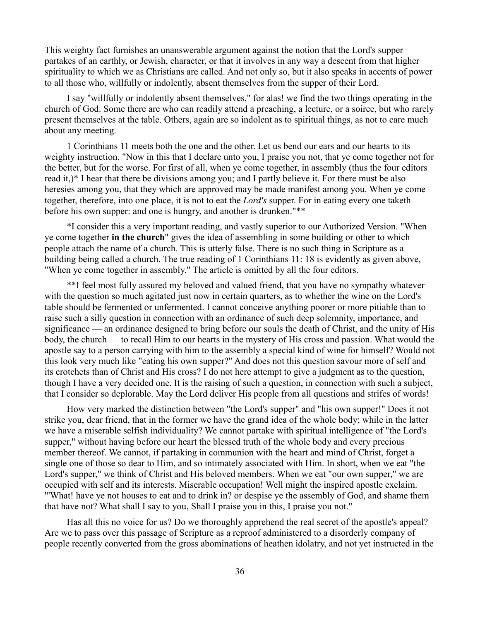This weighty fact furnishes an unanswerable argument against the notion that the Lord's supper partakes of an earthly, or Jewish, character, or that it involves in any way a descent from that higher spirituality to which we as Christians are called. And not only so, but it also speaks in accents of power to all those who, willfully or indolently, absent themselves from the supper of their Lord.

I say "willfully or indolently absent themselves," for alas! we find the two things operating in the church of God. Some there are who can readily attend a preaching, a lecture, or a soiree, but who rarely present themselves at the table. Others, again are so indolent as to spiritual things, as not to care much about any meeting.

1 Corinthians 11 meets both the one and the other. Let us bend our ears and our hearts to its weighty instruction. "Now in this that I declare unto you, I praise you not, that ye come together not for the better, but for the worse. For first of all, when ye come together, in assembly (thus the four editors read it,)\* I hear that there be divisions among you; and I partly believe it. For there must be also heresies among you, that they which are approved may be made manifest among you. When ye come together, therefore, into one place, it is not to eat the *Lord's* supper. For in eating every one taketh before his own supper: and one is hungry, and another is drunken."\*\*

\*I consider this a very important reading, and vastly superior to our Authorized Version. "When ye come together **in the church**" gives the idea of assembling in some building or other to which people attach the name of a church. This is utterly false. There is no such thing in Scripture as a building being called a church. The true reading of 1 Corinthians 11: 18 is evidently as given above, "When ye come together in assembly." The article is omitted by all the four editors.

\*\*I feel most fully assured my beloved and valued friend, that you have no sympathy whatever with the question so much agitated just now in certain quarters, as to whether the wine on the Lord's table should be fermented or unfermented. I cannot conceive anything poorer or more pitiable than to raise such a silly question in connection with an ordinance of such deep solemnity, importance, and significance — an ordinance designed to bring before our souls the death of Christ, and the unity of His body, the church — to recall Him to our hearts in the mystery of His cross and passion. What would the apostle say to a person carrying with him to the assembly a special kind of wine for himself? Would not this look very much like "eating his own supper?" And does not this question savour more of self and its crotchets than of Christ and His cross? I do not here attempt to give a judgment as to the question, though I have a very decided one. It is the raising of such a question, in connection with such a subject, that I consider so deplorable. May the Lord deliver His people from all questions and strifes of words!

How very marked the distinction between "the Lord's supper" and "his own supper!" Does it not strike you, dear friend, that in the former we have the grand idea of the whole body; while in the latter we have a miserable selfish individuality? We cannot partake with spiritual intelligence of "the Lord's supper," without having before our heart the blessed truth of the whole body and every precious member thereof. We cannot, if partaking in communion with the heart and mind of Christ, forget a single one of those so dear to Him, and so intimately associated with Him. In short, when we eat "the Lord's supper," we think of Christ and His beloved members. When we eat "our own supper," we are occupied with self and its interests. Miserable occupation! Well might the inspired apostle exclaim. "'What! have ye not houses to eat and to drink in? or despise ye the assembly of God, and shame them that have not? What shall I say to you, Shall I praise you in this, I praise you not."

Has all this no voice for us? Do we thoroughly apprehend the real secret of the apostle's appeal? Are we to pass over this passage of Scripture as a reproof administered to a disorderly company of people recently converted from the gross abominations of heathen idolatry, and not yet instructed in the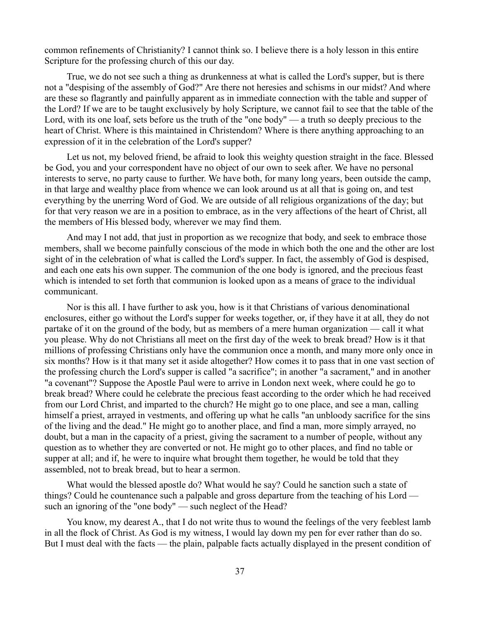common refinements of Christianity? I cannot think so. I believe there is a holy lesson in this entire Scripture for the professing church of this our day.

True, we do not see such a thing as drunkenness at what is called the Lord's supper, but is there not a "despising of the assembly of God?" Are there not heresies and schisms in our midst? And where are these so flagrantly and painfully apparent as in immediate connection with the table and supper of the Lord? If we are to be taught exclusively by holy Scripture, we cannot fail to see that the table of the Lord, with its one loaf, sets before us the truth of the "one body" — a truth so deeply precious to the heart of Christ. Where is this maintained in Christendom? Where is there anything approaching to an expression of it in the celebration of the Lord's supper?

Let us not, my beloved friend, be afraid to look this weighty question straight in the face. Blessed be God, you and your correspondent have no object of our own to seek after. We have no personal interests to serve, no party cause to further. We have both, for many long years, been outside the camp, in that large and wealthy place from whence we can look around us at all that is going on, and test everything by the unerring Word of God. We are outside of all religious organizations of the day; but for that very reason we are in a position to embrace, as in the very affections of the heart of Christ, all the members of His blessed body, wherever we may find them.

And may I not add, that just in proportion as we recognize that body, and seek to embrace those members, shall we become painfully conscious of the mode in which both the one and the other are lost sight of in the celebration of what is called the Lord's supper. In fact, the assembly of God is despised, and each one eats his own supper. The communion of the one body is ignored, and the precious feast which is intended to set forth that communion is looked upon as a means of grace to the individual communicant.

Nor is this all. I have further to ask you, how is it that Christians of various denominational enclosures, either go without the Lord's supper for weeks together, or, if they have it at all, they do not partake of it on the ground of the body, but as members of a mere human organization — call it what you please. Why do not Christians all meet on the first day of the week to break bread? How is it that millions of professing Christians only have the communion once a month, and many more only once in six months? How is it that many set it aside altogether? How comes it to pass that in one vast section of the professing church the Lord's supper is called "a sacrifice"; in another "a sacrament," and in another "a covenant"? Suppose the Apostle Paul were to arrive in London next week, where could he go to break bread? Where could he celebrate the precious feast according to the order which he had received from our Lord Christ, and imparted to the church? He might go to one place, and see a man, calling himself a priest, arrayed in vestments, and offering up what he calls "an unbloody sacrifice for the sins of the living and the dead." He might go to another place, and find a man, more simply arrayed, no doubt, but a man in the capacity of a priest, giving the sacrament to a number of people, without any question as to whether they are converted or not. He might go to other places, and find no table or supper at all; and if, he were to inquire what brought them together, he would be told that they assembled, not to break bread, but to hear a sermon.

What would the blessed apostle do? What would he say? Could he sanction such a state of things? Could he countenance such a palpable and gross departure from the teaching of his Lord such an ignoring of the "one body" — such neglect of the Head?

You know, my dearest A., that I do not write thus to wound the feelings of the very feeblest lamb in all the flock of Christ. As God is my witness, I would lay down my pen for ever rather than do so. But I must deal with the facts — the plain, palpable facts actually displayed in the present condition of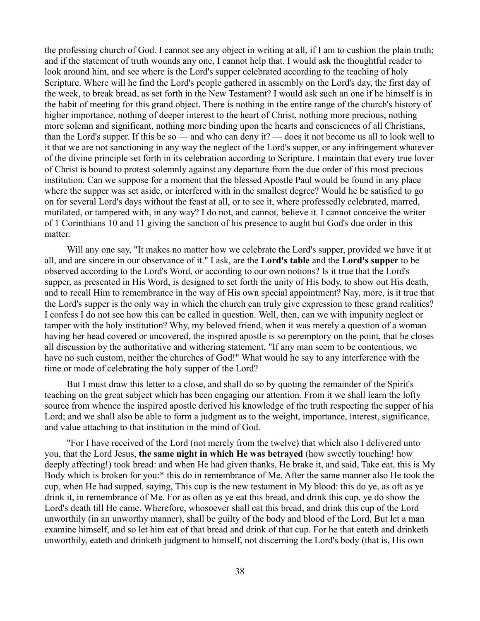the professing church of God. I cannot see any object in writing at all, if I am to cushion the plain truth; and if the statement of truth wounds any one, I cannot help that. I would ask the thoughtful reader to look around him, and see where is the Lord's supper celebrated according to the teaching of holy Scripture. Where will he find the Lord's people gathered in assembly on the Lord's day, the first day of the week, to break bread, as set forth in the New Testament? I would ask such an one if he himself is in the habit of meeting for this grand object. There is nothing in the entire range of the church's history of higher importance, nothing of deeper interest to the heart of Christ, nothing more precious, nothing more solemn and significant, nothing more binding upon the hearts and consciences of all Christians, than the Lord's supper. If this be so — and who can deny it? — does it not become us all to look well to it that we are not sanctioning in any way the neglect of the Lord's supper, or any infringement whatever of the divine principle set forth in its celebration according to Scripture. I maintain that every true lover of Christ is bound to protest solemnly against any departure from the due order of this most precious institution. Can we suppose for a moment that the blessed Apostle Paul would be found in any place where the supper was set aside, or interfered with in the smallest degree? Would he be satisfied to go on for several Lord's days without the feast at all, or to see it, where professedly celebrated, marred, mutilated, or tampered with, in any way? I do not, and cannot, believe it. I cannot conceive the writer of 1 Corinthians 10 and 11 giving the sanction of his presence to aught but God's due order in this matter.

Will any one say, "It makes no matter how we celebrate the Lord's supper, provided we have it at all, and are sincere in our observance of it." I ask, are the **Lord's table** and the **Lord's supper** to be observed according to the Lord's Word, or according to our own notions? Is it true that the Lord's supper, as presented in His Word, is designed to set forth the unity of His body, to show out His death, and to recall Him to remembrance in the way of His own special appointment? Nay, more, is it true that the Lord's supper is the only way in which the church can truly give expression to these grand realities? I confess I do not see how this can be called in question. Well, then, can we with impunity neglect or tamper with the holy institution? Why, my beloved friend, when it was merely a question of a woman having her head covered or uncovered, the inspired apostle is so peremptory on the point, that he closes all discussion by the authoritative and withering statement, "If any man seem to be contentious, we have no such custom, neither the churches of God!" What would he say to any interference with the time or mode of celebrating the holy supper of the Lord?

But I must draw this letter to a close, and shall do so by quoting the remainder of the Spirit's teaching on the great subject which has been engaging our attention. From it we shall learn the lofty source from whence the inspired apostle derived his knowledge of the truth respecting the supper of his Lord; and we shall also be able to form a judgment as to the weight, importance, interest, significance, and value attaching to that institution in the mind of God.

"For I have received of the Lord (not merely from the twelve) that which also I delivered unto you, that the Lord Jesus, **the same night in which He was betrayed** (how sweetly touching! how deeply affecting!) took bread: and when He had given thanks, He brake it, and said, Take eat, this is My Body which is broken for you:\* this do in remembrance of Me. After the same manner also He took the cup, when He had supped, saying, This cup is the new testament in My blood: this do ye, as oft as ye drink it, in remembrance of Me. For as often as ye eat this bread, and drink this cup, ye do show the Lord's death till He came. Wherefore, whosoever shall eat this bread, and drink this cup of the Lord unworthily (in an unworthy manner), shall be guilty of the body and blood of the Lord. But let a man examine himself, and so let him eat of that bread and drink of that cup. For he that eateth and drinketh unworthily, eateth and drinketh judgment to himself, not discerning the Lord's body (that is, His own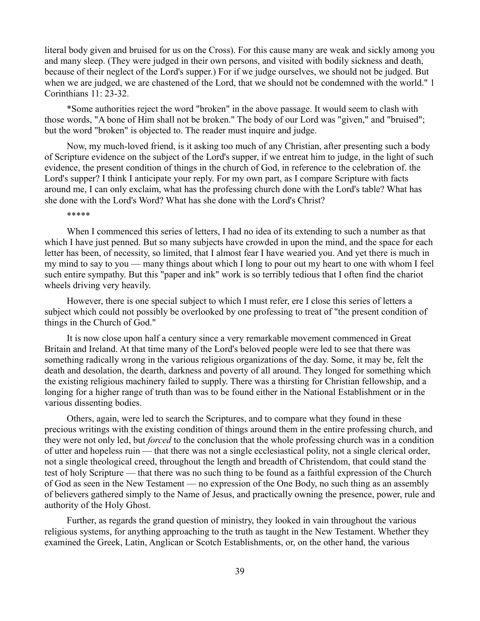literal body given and bruised for us on the Cross). For this cause many are weak and sickly among you and many sleep. (They were judged in their own persons, and visited with bodily sickness and death, because of their neglect of the Lord's supper.) For if we judge ourselves, we should not be judged. But when we are judged, we are chastened of the Lord, that we should not be condemned with the world." 1 Corinthians 11: 23-32.

\*Some authorities reject the word "broken" in the above passage. It would seem to clash with those words, "A bone of Him shall not be broken." The body of our Lord was "given," and "bruised"; but the word "broken" is objected to. The reader must inquire and judge.

Now, my much-loved friend, is it asking too much of any Christian, after presenting such a body of Scripture evidence on the subject of the Lord's supper, if we entreat him to judge, in the light of such evidence, the present condition of things in the church of God, in reference to the celebration of. the Lord's supper? I think I anticipate your reply. For my own part, as I compare Scripture with facts around me, I can only exclaim, what has the professing church done with the Lord's table? What has she done with the Lord's Word? What has she done with the Lord's Christ?

\*\*\*\*\*

When I commenced this series of letters, I had no idea of its extending to such a number as that which I have just penned. But so many subjects have crowded in upon the mind, and the space for each letter has been, of necessity, so limited, that I almost fear I have wearied you. And yet there is much in my mind to say to you — many things about which I long to pour out my heart to one with whom I feel such entire sympathy. But this "paper and ink" work is so terribly tedious that I often find the chariot wheels driving very heavily.

However, there is one special subject to which I must refer, ere I close this series of letters a subject which could not possibly be overlooked by one professing to treat of "the present condition of things in the Church of God."

It is now close upon half a century since a very remarkable movement commenced in Great Britain and Ireland. At that time many of the Lord's beloved people were led to see that there was something radically wrong in the various religious organizations of the day. Some, it may be, felt the death and desolation, the dearth, darkness and poverty of all around. They longed for something which the existing religious machinery failed to supply. There was a thirsting for Christian fellowship, and a longing for a higher range of truth than was to be found either in the National Establishment or in the various dissenting bodies.

Others, again, were led to search the Scriptures, and to compare what they found in these precious writings with the existing condition of things around them in the entire professing church, and they were not only led, but *forced* to the conclusion that the whole professing church was in a condition of utter and hopeless ruin — that there was not a single ecclesiastical polity, not a single clerical order, not a single theological creed, throughout the length and breadth of Christendom, that could stand the test of holy Scripture — that there was no such thing to be found as a faithful expression of the Church of God as seen in the New Testament — no expression of the One Body, no such thing as an assembly of believers gathered simply to the Name of Jesus, and practically owning the presence, power, rule and authority of the Holy Ghost.

Further, as regards the grand question of ministry, they looked in vain throughout the various religious systems, for anything approaching to the truth as taught in the New Testament. Whether they examined the Greek, Latin, Anglican or Scotch Establishments, or, on the other hand, the various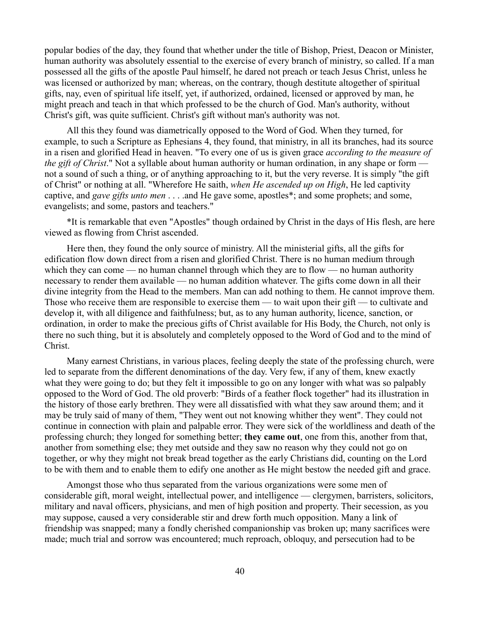popular bodies of the day, they found that whether under the title of Bishop, Priest, Deacon or Minister, human authority was absolutely essential to the exercise of every branch of ministry, so called. If a man possessed all the gifts of the apostle Paul himself, he dared not preach or teach Jesus Christ, unless he was licensed or authorized by man; whereas, on the contrary, though destitute altogether of spiritual gifts, nay, even of spiritual life itself, yet, if authorized, ordained, licensed or approved by man, he might preach and teach in that which professed to be the church of God. Man's authority, without Christ's gift, was quite sufficient. Christ's gift without man's authority was not.

All this they found was diametrically opposed to the Word of God. When they turned, for example, to such a Scripture as Ephesians 4, they found, that ministry, in all its branches, had its source in a risen and glorified Head in heaven. "To every one of us is given grace *according to the measure of the gift of Christ*." Not a syllable about human authority or human ordination, in any shape or form not a sound of such a thing, or of anything approaching to it, but the very reverse. It is simply "the gift of Christ" or nothing at all. "Wherefore He saith, *when He ascended up on High*, He led captivity captive, and *gave gifts unto men* . . . .and He gave some, apostles\*; and some prophets; and some, evangelists; and some, pastors and teachers."

\*It is remarkable that even "Apostles" though ordained by Christ in the days of His flesh, are here viewed as flowing from Christ ascended.

Here then, they found the only source of ministry. All the ministerial gifts, all the gifts for edification flow down direct from a risen and glorified Christ. There is no human medium through which they can come — no human channel through which they are to flow — no human authority necessary to render them available — no human addition whatever. The gifts come down in all their divine integrity from the Head to the members. Man can add nothing to them. He cannot improve them. Those who receive them are responsible to exercise them — to wait upon their gift — to cultivate and develop it, with all diligence and faithfulness; but, as to any human authority, licence, sanction, or ordination, in order to make the precious gifts of Christ available for His Body, the Church, not only is there no such thing, but it is absolutely and completely opposed to the Word of God and to the mind of Christ.

Many earnest Christians, in various places, feeling deeply the state of the professing church, were led to separate from the different denominations of the day. Very few, if any of them, knew exactly what they were going to do; but they felt it impossible to go on any longer with what was so palpably opposed to the Word of God. The old proverb: "Birds of a feather flock together" had its illustration in the history of those early brethren. They were all dissatisfied with what they saw around them; and it may be truly said of many of them, "They went out not knowing whither they went". They could not continue in connection with plain and palpable error. They were sick of the worldliness and death of the professing church; they longed for something better; **they came out**, one from this, another from that, another from something else; they met outside and they saw no reason why they could not go on together, or why they might not break bread together as the early Christians did, counting on the Lord to be with them and to enable them to edify one another as He might bestow the needed gift and grace.

Amongst those who thus separated from the various organizations were some men of considerable gift, moral weight, intellectual power, and intelligence — clergymen, barristers, solicitors, military and naval officers, physicians, and men of high position and property. Their secession, as you may suppose, caused a very considerable stir and drew forth much opposition. Many a link of friendship was snapped; many a fondly cherished companionship vas broken up; many sacrifices were made; much trial and sorrow was encountered; much reproach, obloquy, and persecution had to be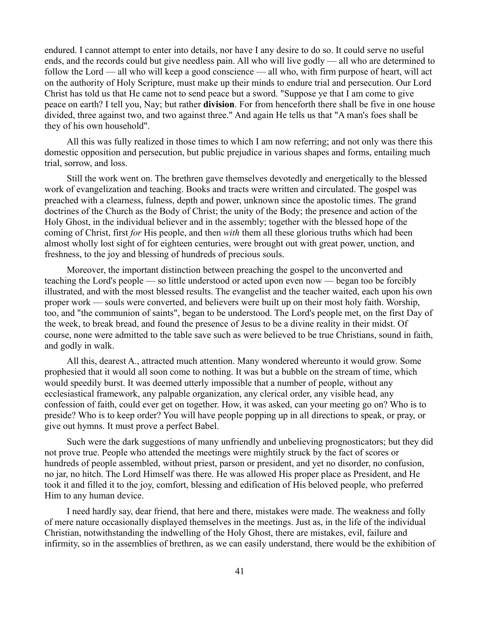endured. I cannot attempt to enter into details, nor have I any desire to do so. It could serve no useful ends, and the records could but give needless pain. All who will live godly — all who are determined to follow the Lord — all who will keep a good conscience — all who, with firm purpose of heart, will act on the authority of Holy Scripture, must make up their minds to endure trial and persecution. Our Lord Christ has told us that He came not to send peace but a sword. "Suppose ye that I am come to give peace on earth? I tell you, Nay; but rather **division**. For from henceforth there shall be five in one house divided, three against two, and two against three." And again He tells us that "A man's foes shall be they of his own household".

All this was fully realized in those times to which I am now referring; and not only was there this domestic opposition and persecution, but public prejudice in various shapes and forms, entailing much trial, sorrow, and loss.

Still the work went on. The brethren gave themselves devotedly and energetically to the blessed work of evangelization and teaching. Books and tracts were written and circulated. The gospel was preached with a clearness, fulness, depth and power, unknown since the apostolic times. The grand doctrines of the Church as the Body of Christ; the unity of the Body; the presence and action of the Holy Ghost, in the individual believer and in the assembly; together with the blessed hope of the coming of Christ, first *for* His people, and then *with* them all these glorious truths which had been almost wholly lost sight of for eighteen centuries, were brought out with great power, unction, and freshness, to the joy and blessing of hundreds of precious souls.

Moreover, the important distinction between preaching the gospel to the unconverted and teaching the Lord's people — so little understood or acted upon even now — began too be forcibly illustrated, and with the most blessed results. The evangelist and the teacher waited, each upon his own proper work — souls were converted, and believers were built up on their most holy faith. Worship, too, and "the communion of saints", began to be understood. The Lord's people met, on the first Day of the week, to break bread, and found the presence of Jesus to be a divine reality in their midst. Of course, none were admitted to the table save such as were believed to be true Christians, sound in faith, and godly in walk.

All this, dearest A., attracted much attention. Many wondered whereunto it would grow. Some prophesied that it would all soon come to nothing. It was but a bubble on the stream of time, which would speedily burst. It was deemed utterly impossible that a number of people, without any ecclesiastical framework, any palpable organization, any clerical order, any visible head, any confession of faith, could ever get on together. How, it was asked, can your meeting go on? Who is to preside? Who is to keep order? You will have people popping up in all directions to speak, or pray, or give out hymns. It must prove a perfect Babel.

Such were the dark suggestions of many unfriendly and unbelieving prognosticators; but they did not prove true. People who attended the meetings were mightily struck by the fact of scores or hundreds of people assembled, without priest, parson or president, and yet no disorder, no confusion, no jar, no hitch. The Lord Himself was there. He was allowed His proper place as President, and He took it and filled it to the joy, comfort, blessing and edification of His beloved people, who preferred Him to any human device.

I need hardly say, dear friend, that here and there, mistakes were made. The weakness and folly of mere nature occasionally displayed themselves in the meetings. Just as, in the life of the individual Christian, notwithstanding the indwelling of the Holy Ghost, there are mistakes, evil, failure and infirmity, so in the assemblies of brethren, as we can easily understand, there would be the exhibition of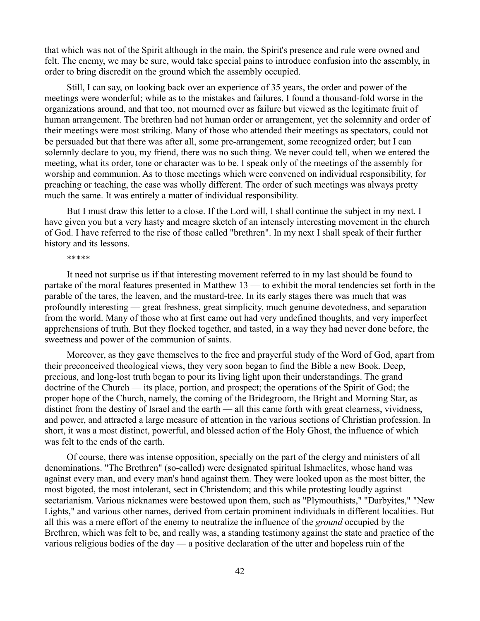that which was not of the Spirit although in the main, the Spirit's presence and rule were owned and felt. The enemy, we may be sure, would take special pains to introduce confusion into the assembly, in order to bring discredit on the ground which the assembly occupied.

Still, I can say, on looking back over an experience of 35 years, the order and power of the meetings were wonderful; while as to the mistakes and failures, I found a thousand-fold worse in the organizations around, and that too, not mourned over as failure but viewed as the legitimate fruit of human arrangement. The brethren had not human order or arrangement, yet the solemnity and order of their meetings were most striking. Many of those who attended their meetings as spectators, could not be persuaded but that there was after all, some pre-arrangement, some recognized order; but I can solemnly declare to you, my friend, there was no such thing. We never could tell, when we entered the meeting, what its order, tone or character was to be. I speak only of the meetings of the assembly for worship and communion. As to those meetings which were convened on individual responsibility, for preaching or teaching, the case was wholly different. The order of such meetings was always pretty much the same. It was entirely a matter of individual responsibility.

But I must draw this letter to a close. If the Lord will, I shall continue the subject in my next. I have given you but a very hasty and meagre sketch of an intensely interesting movement in the church of God. I have referred to the rise of those called "brethren". In my next I shall speak of their further history and its lessons.

### \*\*\*\*\*

It need not surprise us if that interesting movement referred to in my last should be found to partake of the moral features presented in Matthew  $13$  — to exhibit the moral tendencies set forth in the parable of the tares, the leaven, and the mustard-tree. In its early stages there was much that was profoundly interesting — great freshness, great simplicity, much genuine devotedness, and separation from the world. Many of those who at first came out had very undefined thoughts, and very imperfect apprehensions of truth. But they flocked together, and tasted, in a way they had never done before, the sweetness and power of the communion of saints.

Moreover, as they gave themselves to the free and prayerful study of the Word of God, apart from their preconceived theological views, they very soon began to find the Bible a new Book. Deep, precious, and long-lost truth began to pour its living light upon their understandings. The grand doctrine of the Church — its place, portion, and prospect; the operations of the Spirit of God; the proper hope of the Church, namely, the coming of the Bridegroom, the Bright and Morning Star, as distinct from the destiny of Israel and the earth — all this came forth with great clearness, vividness, and power, and attracted a large measure of attention in the various sections of Christian profession. In short, it was a most distinct, powerful, and blessed action of the Holy Ghost, the influence of which was felt to the ends of the earth.

Of course, there was intense opposition, specially on the part of the clergy and ministers of all denominations. "The Brethren" (so-called) were designated spiritual Ishmaelites, whose hand was against every man, and every man's hand against them. They were looked upon as the most bitter, the most bigoted, the most intolerant, sect in Christendom; and this while protesting loudly against sectarianism. Various nicknames were bestowed upon them, such as "Plymouthists," "Darbyites," "New Lights," and various other names, derived from certain prominent individuals in different localities. But all this was a mere effort of the enemy to neutralize the influence of the *ground* occupied by the Brethren, which was felt to be, and really was, a standing testimony against the state and practice of the various religious bodies of the day — a positive declaration of the utter and hopeless ruin of the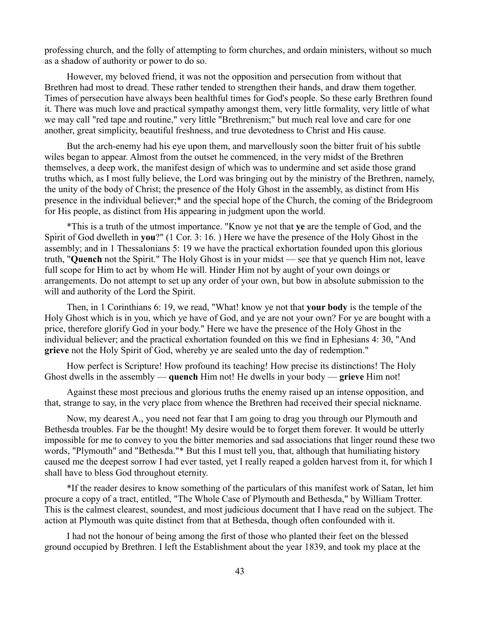professing church, and the folly of attempting to form churches, and ordain ministers, without so much as a shadow of authority or power to do so.

However, my beloved friend, it was not the opposition and persecution from without that Brethren had most to dread. These rather tended to strengthen their hands, and draw them together. Times of persecution have always been healthful times for God's people. So these early Brethren found it. There was much love and practical sympathy amongst them, very little formality, very little of what we may call "red tape and routine," very little "Brethrenism;" but much real love and care for one another, great simplicity, beautiful freshness, and true devotedness to Christ and His cause.

But the arch-enemy had his eye upon them, and marvellously soon the bitter fruit of his subtle wiles began to appear. Almost from the outset he commenced, in the very midst of the Brethren themselves, a deep work, the manifest design of which was to undermine and set aside those grand truths which, as I most fully believe, the Lord was bringing out by the ministry of the Brethren, namely, the unity of the body of Christ; the presence of the Holy Ghost in the assembly, as distinct from His presence in the individual believer;\* and the special hope of the Church, the coming of the Bridegroom for His people, as distinct from His appearing in judgment upon the world.

\*This is a truth of the utmost importance. "Know ye not that **ye** are the temple of God, and the Spirit of God dwelleth in **you**?" (1 Cor. 3: 16. ) Here we have the presence of the Holy Ghost in the assembly; and in 1 Thessalonians 5: 19 we have the practical exhortation founded upon this glorious truth, "**Quench** not the Spirit." The Holy Ghost is in your midst — see that ye quench Him not, leave full scope for Him to act by whom He will. Hinder Him not by aught of your own doings or arrangements. Do not attempt to set up any order of your own, but bow in absolute submission to the will and authority of the Lord the Spirit.

Then, in 1 Corinthians 6: 19, we read, "What! know ye not that **your body** is the temple of the Holy Ghost which is in you, which ye have of God, and ye are not your own? For ye are bought with a price, therefore glorify God in your body." Here we have the presence of the Holy Ghost in the individual believer; and the practical exhortation founded on this we find in Ephesians 4: 30, "And **grieve** not the Holy Spirit of God, whereby ye are sealed unto the day of redemption."

How perfect is Scripture! How profound its teaching! How precise its distinctions! The Holy Ghost dwells in the assembly — **quench** Him not! He dwells in your body — **grieve** Him not!

Against these most precious and glorious truths the enemy raised up an intense opposition, and that, strange to say, in the very place from whence the Brethren had received their special nickname.

Now, my dearest A., you need not fear that I am going to drag you through our Plymouth and Bethesda troubles. Far be the thought! My desire would be to forget them forever. It would be utterly impossible for me to convey to you the bitter memories and sad associations that linger round these two words, "Plymouth" and "Bethesda."\* But this I must tell you, that, although that humiliating history caused me the deepest sorrow I had ever tasted, yet I really reaped a golden harvest from it, for which I shall have to bless God throughout eternity.

\*If the reader desires to know something of the particulars of this manifest work of Satan, let him procure a copy of a tract, entitled, "The Whole Case of Plymouth and Bethesda," by William Trotter. This is the calmest clearest, soundest, and most judicious document that I have read on the subject. The action at Plymouth was quite distinct from that at Bethesda, though often confounded with it.

I had not the honour of being among the first of those who planted their feet on the blessed ground occupied by Brethren. I left the Establishment about the year 1839, and took my place at the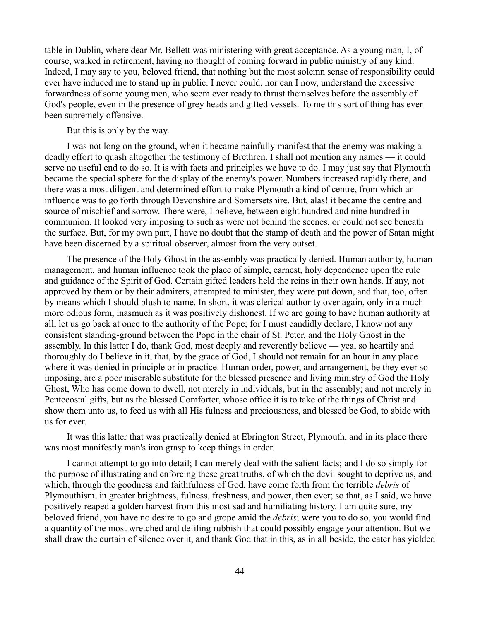table in Dublin, where dear Mr. Bellett was ministering with great acceptance. As a young man, I, of course, walked in retirement, having no thought of coming forward in public ministry of any kind. Indeed, I may say to you, beloved friend, that nothing but the most solemn sense of responsibility could ever have induced me to stand up in public. I never could, nor can I now, understand the excessive forwardness of some young men, who seem ever ready to thrust themselves before the assembly of God's people, even in the presence of grey heads and gifted vessels. To me this sort of thing has ever been supremely offensive.

But this is only by the way.

I was not long on the ground, when it became painfully manifest that the enemy was making a deadly effort to quash altogether the testimony of Brethren. I shall not mention any names — it could serve no useful end to do so. It is with facts and principles we have to do. I may just say that Plymouth became the special sphere for the display of the enemy's power. Numbers increased rapidly there, and there was a most diligent and determined effort to make Plymouth a kind of centre, from which an influence was to go forth through Devonshire and Somersetshire. But, alas! it became the centre and source of mischief and sorrow. There were, I believe, between eight hundred and nine hundred in communion. It looked very imposing to such as were not behind the scenes, or could not see beneath the surface. But, for my own part, I have no doubt that the stamp of death and the power of Satan might have been discerned by a spiritual observer, almost from the very outset.

The presence of the Holy Ghost in the assembly was practically denied. Human authority, human management, and human influence took the place of simple, earnest, holy dependence upon the rule and guidance of the Spirit of God. Certain gifted leaders held the reins in their own hands. If any, not approved by them or by their admirers, attempted to minister, they were put down, and that, too, often by means which I should blush to name. In short, it was clerical authority over again, only in a much more odious form, inasmuch as it was positively dishonest. If we are going to have human authority at all, let us go back at once to the authority of the Pope; for I must candidly declare, I know not any consistent standing-ground between the Pope in the chair of St. Peter, and the Holy Ghost in the assembly. In this latter I do, thank God, most deeply and reverently believe — yea, so heartily and thoroughly do I believe in it, that, by the grace of God, I should not remain for an hour in any place where it was denied in principle or in practice. Human order, power, and arrangement, be they ever so imposing, are a poor miserable substitute for the blessed presence and living ministry of God the Holy Ghost, Who has come down to dwell, not merely in individuals, but in the assembly; and not merely in Pentecostal gifts, but as the blessed Comforter, whose office it is to take of the things of Christ and show them unto us, to feed us with all His fulness and preciousness, and blessed be God, to abide with us for ever.

It was this latter that was practically denied at Ebrington Street, Plymouth, and in its place there was most manifestly man's iron grasp to keep things in order.

I cannot attempt to go into detail; I can merely deal with the salient facts; and I do so simply for the purpose of illustrating and enforcing these great truths, of which the devil sought to deprive us, and which, through the goodness and faithfulness of God, have come forth from the terrible *debris* of Plymouthism, in greater brightness, fulness, freshness, and power, then ever; so that, as I said, we have positively reaped a golden harvest from this most sad and humiliating history. I am quite sure, my beloved friend, you have no desire to go and grope amid the *debris*; were you to do so, you would find a quantity of the most wretched and defiling rubbish that could possibly engage your attention. But we shall draw the curtain of silence over it, and thank God that in this, as in all beside, the eater has yielded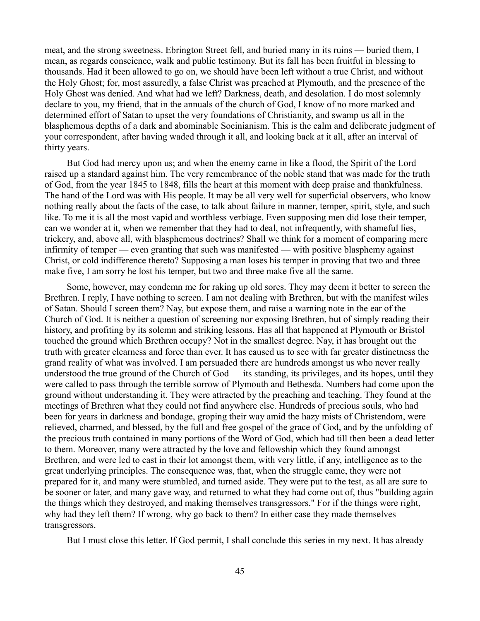meat, and the strong sweetness. Ebrington Street fell, and buried many in its ruins — buried them, I mean, as regards conscience, walk and public testimony. But its fall has been fruitful in blessing to thousands. Had it been allowed to go on, we should have been left without a true Christ, and without the Holy Ghost; for, most assuredly, a false Christ was preached at Plymouth, and the presence of the Holy Ghost was denied. And what had we left? Darkness, death, and desolation. I do most solemnly declare to you, my friend, that in the annuals of the church of God, I know of no more marked and determined effort of Satan to upset the very foundations of Christianity, and swamp us all in the blasphemous depths of a dark and abominable Socinianism. This is the calm and deliberate judgment of your correspondent, after having waded through it all, and looking back at it all, after an interval of thirty years.

But God had mercy upon us; and when the enemy came in like a flood, the Spirit of the Lord raised up a standard against him. The very remembrance of the noble stand that was made for the truth of God, from the year 1845 to 1848, fills the heart at this moment with deep praise and thankfulness. The hand of the Lord was with His people. It may be all very well for superficial observers, who know nothing really about the facts of the case, to talk about failure in manner, temper, spirit, style, and such like. To me it is all the most vapid and worthless verbiage. Even supposing men did lose their temper, can we wonder at it, when we remember that they had to deal, not infrequently, with shameful lies, trickery, and, above all, with blasphemous doctrines? Shall we think for a moment of comparing mere infirmity of temper — even granting that such was manifested — with positive blasphemy against Christ, or cold indifference thereto? Supposing a man loses his temper in proving that two and three make five, I am sorry he lost his temper, but two and three make five all the same.

Some, however, may condemn me for raking up old sores. They may deem it better to screen the Brethren. I reply, I have nothing to screen. I am not dealing with Brethren, but with the manifest wiles of Satan. Should I screen them? Nay, but expose them, and raise a warning note in the ear of the Church of God. It is neither a question of screening nor exposing Brethren, but of simply reading their history, and profiting by its solemn and striking lessons. Has all that happened at Plymouth or Bristol touched the ground which Brethren occupy? Not in the smallest degree. Nay, it has brought out the truth with greater clearness and force than ever. It has caused us to see with far greater distinctness the grand reality of what was involved. I am persuaded there are hundreds amongst us who never really understood the true ground of the Church of God — its standing, its privileges, and its hopes, until they were called to pass through the terrible sorrow of Plymouth and Bethesda. Numbers had come upon the ground without understanding it. They were attracted by the preaching and teaching. They found at the meetings of Brethren what they could not find anywhere else. Hundreds of precious souls, who had been for years in darkness and bondage, groping their way amid the hazy mists of Christendom, were relieved, charmed, and blessed, by the full and free gospel of the grace of God, and by the unfolding of the precious truth contained in many portions of the Word of God, which had till then been a dead letter to them. Moreover, many were attracted by the love and fellowship which they found amongst Brethren, and were led to cast in their lot amongst them, with very little, if any, intelligence as to the great underlying principles. The consequence was, that, when the struggle came, they were not prepared for it, and many were stumbled, and turned aside. They were put to the test, as all are sure to be sooner or later, and many gave way, and returned to what they had come out of, thus "building again the things which they destroyed, and making themselves transgressors." For if the things were right, why had they left them? If wrong, why go back to them? In either case they made themselves transgressors.

But I must close this letter. If God permit, I shall conclude this series in my next. It has already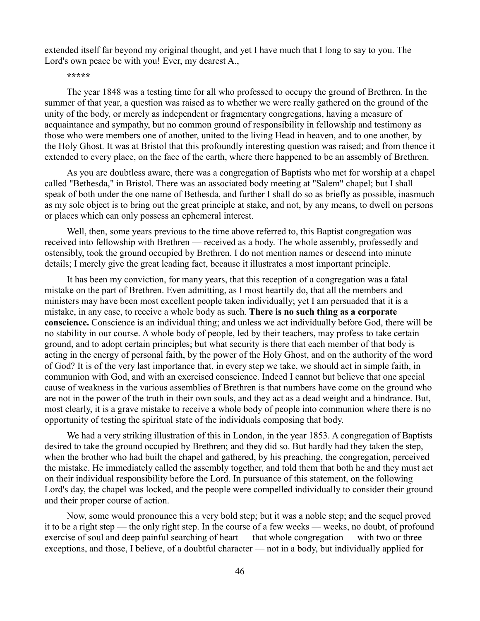extended itself far beyond my original thought, and yet I have much that I long to say to you. The Lord's own peace be with you! Ever, my dearest A.,

**\*\*\*\*\***

The year 1848 was a testing time for all who professed to occupy the ground of Brethren. In the summer of that year, a question was raised as to whether we were really gathered on the ground of the unity of the body, or merely as independent or fragmentary congregations, having a measure of acquaintance and sympathy, but no common ground of responsibility in fellowship and testimony as those who were members one of another, united to the living Head in heaven, and to one another, by the Holy Ghost. It was at Bristol that this profoundly interesting question was raised; and from thence it extended to every place, on the face of the earth, where there happened to be an assembly of Brethren.

As you are doubtless aware, there was a congregation of Baptists who met for worship at a chapel called "Bethesda," in Bristol. There was an associated body meeting at "Salem" chapel; but I shall speak of both under the one name of Bethesda, and further I shall do so as briefly as possible, inasmuch as my sole object is to bring out the great principle at stake, and not, by any means, to dwell on persons or places which can only possess an ephemeral interest.

Well, then, some years previous to the time above referred to, this Baptist congregation was received into fellowship with Brethren — received as a body. The whole assembly, professedly and ostensibly, took the ground occupied by Brethren. I do not mention names or descend into minute details; I merely give the great leading fact, because it illustrates a most important principle.

It has been my conviction, for many years, that this reception of a congregation was a fatal mistake on the part of Brethren. Even admitting, as I most heartily do, that all the members and ministers may have been most excellent people taken individually; yet I am persuaded that it is a mistake, in any case, to receive a whole body as such. **There is no such thing as a corporate conscience.** Conscience is an individual thing; and unless we act individually before God, there will be no stability in our course. A whole body of people, led by their teachers, may profess to take certain ground, and to adopt certain principles; but what security is there that each member of that body is acting in the energy of personal faith, by the power of the Holy Ghost, and on the authority of the word of God? It is of the very last importance that, in every step we take, we should act in simple faith, in communion with God, and with an exercised conscience. Indeed I cannot but believe that one special cause of weakness in the various assemblies of Brethren is that numbers have come on the ground who are not in the power of the truth in their own souls, and they act as a dead weight and a hindrance. But, most clearly, it is a grave mistake to receive a whole body of people into communion where there is no opportunity of testing the spiritual state of the individuals composing that body.

We had a very striking illustration of this in London, in the year 1853. A congregation of Baptists desired to take the ground occupied by Brethren; and they did so. But hardly had they taken the step, when the brother who had built the chapel and gathered, by his preaching, the congregation, perceived the mistake. He immediately called the assembly together, and told them that both he and they must act on their individual responsibility before the Lord. In pursuance of this statement, on the following Lord's day, the chapel was locked, and the people were compelled individually to consider their ground and their proper course of action.

Now, some would pronounce this a very bold step; but it was a noble step; and the sequel proved it to be a right step — the only right step. In the course of a few weeks — weeks, no doubt, of profound exercise of soul and deep painful searching of heart — that whole congregation — with two or three exceptions, and those, I believe, of a doubtful character — not in a body, but individually applied for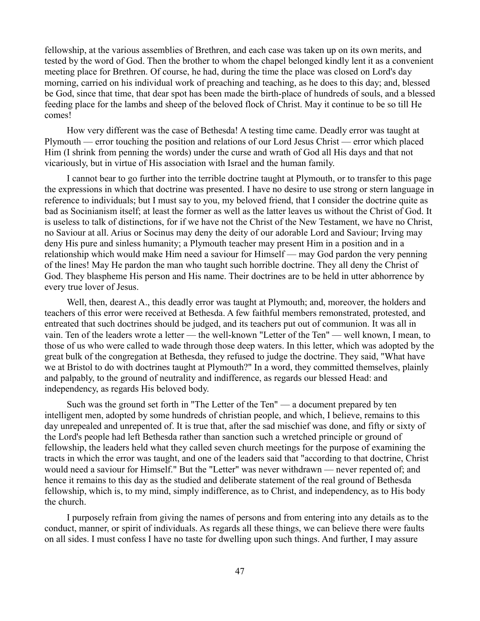fellowship, at the various assemblies of Brethren, and each case was taken up on its own merits, and tested by the word of God. Then the brother to whom the chapel belonged kindly lent it as a convenient meeting place for Brethren. Of course, he had, during the time the place was closed on Lord's day morning, carried on his individual work of preaching and teaching, as he does to this day; and, blessed be God, since that time, that dear spot has been made the birth-place of hundreds of souls, and a blessed feeding place for the lambs and sheep of the beloved flock of Christ. May it continue to be so till He comes!

How very different was the case of Bethesda! A testing time came. Deadly error was taught at Plymouth — error touching the position and relations of our Lord Jesus Christ — error which placed Him (I shrink from penning the words) under the curse and wrath of God all His days and that not vicariously, but in virtue of His association with Israel and the human family.

I cannot bear to go further into the terrible doctrine taught at Plymouth, or to transfer to this page the expressions in which that doctrine was presented. I have no desire to use strong or stern language in reference to individuals; but I must say to you, my beloved friend, that I consider the doctrine quite as bad as Socinianism itself; at least the former as well as the latter leaves us without the Christ of God. It is useless to talk of distinctions, for if we have not the Christ of the New Testament, we have no Christ, no Saviour at all. Arius or Socinus may deny the deity of our adorable Lord and Saviour; Irving may deny His pure and sinless humanity; a Plymouth teacher may present Him in a position and in a relationship which would make Him need a saviour for Himself — may God pardon the very penning of the lines! May He pardon the man who taught such horrible doctrine. They all deny the Christ of God. They blaspheme His person and His name. Their doctrines are to be held in utter abhorrence by every true lover of Jesus.

Well, then, dearest A., this deadly error was taught at Plymouth; and, moreover, the holders and teachers of this error were received at Bethesda. A few faithful members remonstrated, protested, and entreated that such doctrines should be judged, and its teachers put out of communion. It was all in vain. Ten of the leaders wrote a letter — the well-known "Letter of the Ten" — well known, I mean, to those of us who were called to wade through those deep waters. In this letter, which was adopted by the great bulk of the congregation at Bethesda, they refused to judge the doctrine. They said, "What have we at Bristol to do with doctrines taught at Plymouth?" In a word, they committed themselves, plainly and palpably, to the ground of neutrality and indifference, as regards our blessed Head: and independency, as regards His beloved body.

Such was the ground set forth in "The Letter of the Ten" — a document prepared by ten intelligent men, adopted by some hundreds of christian people, and which, I believe, remains to this day unrepealed and unrepented of. It is true that, after the sad mischief was done, and fifty or sixty of the Lord's people had left Bethesda rather than sanction such a wretched principle or ground of fellowship, the leaders held what they called seven church meetings for the purpose of examining the tracts in which the error was taught, and one of the leaders said that "according to that doctrine, Christ would need a saviour for Himself." But the "Letter" was never withdrawn — never repented of; and hence it remains to this day as the studied and deliberate statement of the real ground of Bethesda fellowship, which is, to my mind, simply indifference, as to Christ, and independency, as to His body the church.

I purposely refrain from giving the names of persons and from entering into any details as to the conduct, manner, or spirit of individuals. As regards all these things, we can believe there were faults on all sides. I must confess I have no taste for dwelling upon such things. And further, I may assure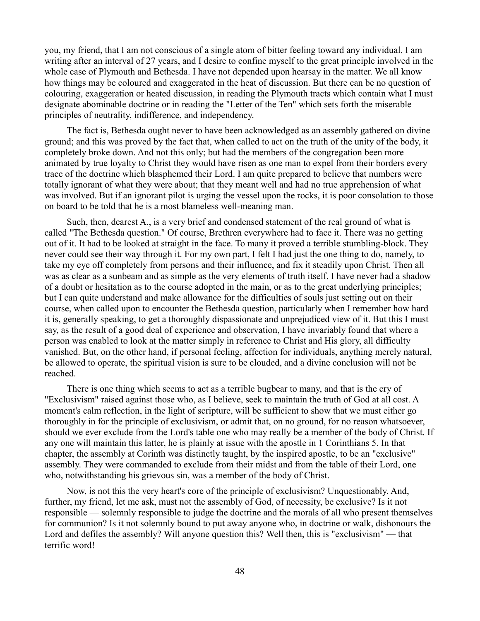you, my friend, that I am not conscious of a single atom of bitter feeling toward any individual. I am writing after an interval of 27 years, and I desire to confine myself to the great principle involved in the whole case of Plymouth and Bethesda. I have not depended upon hearsay in the matter. We all know how things may be coloured and exaggerated in the heat of discussion. But there can be no question of colouring, exaggeration or heated discussion, in reading the Plymouth tracts which contain what I must designate abominable doctrine or in reading the "Letter of the Ten" which sets forth the miserable principles of neutrality, indifference, and independency.

The fact is, Bethesda ought never to have been acknowledged as an assembly gathered on divine ground; and this was proved by the fact that, when called to act on the truth of the unity of the body, it completely broke down. And not this only; but had the members of the congregation been more animated by true loyalty to Christ they would have risen as one man to expel from their borders every trace of the doctrine which blasphemed their Lord. I am quite prepared to believe that numbers were totally ignorant of what they were about; that they meant well and had no true apprehension of what was involved. But if an ignorant pilot is urging the vessel upon the rocks, it is poor consolation to those on board to be told that he is a most blameless well-meaning man.

Such, then, dearest A., is a very brief and condensed statement of the real ground of what is called "The Bethesda question." Of course, Brethren everywhere had to face it. There was no getting out of it. It had to be looked at straight in the face. To many it proved a terrible stumbling-block. They never could see their way through it. For my own part, I felt I had just the one thing to do, namely, to take my eye off completely from persons and their influence, and fix it steadily upon Christ. Then all was as clear as a sunbeam and as simple as the very elements of truth itself. I have never had a shadow of a doubt or hesitation as to the course adopted in the main, or as to the great underlying principles; but I can quite understand and make allowance for the difficulties of souls just setting out on their course, when called upon to encounter the Bethesda question, particularly when I remember how hard it is, generally speaking, to get a thoroughly dispassionate and unprejudiced view of it. But this I must say, as the result of a good deal of experience and observation, I have invariably found that where a person was enabled to look at the matter simply in reference to Christ and His glory, all difficulty vanished. But, on the other hand, if personal feeling, affection for individuals, anything merely natural, be allowed to operate, the spiritual vision is sure to be clouded, and a divine conclusion will not be reached.

There is one thing which seems to act as a terrible bugbear to many, and that is the cry of "Exclusivism" raised against those who, as I believe, seek to maintain the truth of God at all cost. A moment's calm reflection, in the light of scripture, will be sufficient to show that we must either go thoroughly in for the principle of exclusivism, or admit that, on no ground, for no reason whatsoever, should we ever exclude from the Lord's table one who may really be a member of the body of Christ. If any one will maintain this latter, he is plainly at issue with the apostle in 1 Corinthians 5. In that chapter, the assembly at Corinth was distinctly taught, by the inspired apostle, to be an "exclusive" assembly. They were commanded to exclude from their midst and from the table of their Lord, one who, notwithstanding his grievous sin, was a member of the body of Christ.

Now, is not this the very heart's core of the principle of exclusivism? Unquestionably. And, further, my friend, let me ask, must not the assembly of God, of necessity, be exclusive? Is it not responsible — solemnly responsible to judge the doctrine and the morals of all who present themselves for communion? Is it not solemnly bound to put away anyone who, in doctrine or walk, dishonours the Lord and defiles the assembly? Will anyone question this? Well then, this is "exclusivism" — that terrific word!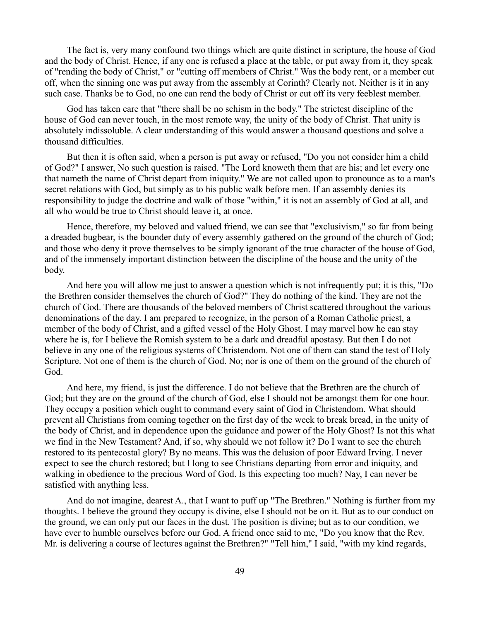The fact is, very many confound two things which are quite distinct in scripture, the house of God and the body of Christ. Hence, if any one is refused a place at the table, or put away from it, they speak of "rending the body of Christ," or "cutting off members of Christ." Was the body rent, or a member cut off, when the sinning one was put away from the assembly at Corinth? Clearly not. Neither is it in any such case. Thanks be to God, no one can rend the body of Christ or cut off its very feeblest member.

God has taken care that "there shall be no schism in the body." The strictest discipline of the house of God can never touch, in the most remote way, the unity of the body of Christ. That unity is absolutely indissoluble. A clear understanding of this would answer a thousand questions and solve a thousand difficulties.

But then it is often said, when a person is put away or refused, "Do you not consider him a child of God?" I answer, No such question is raised. "The Lord knoweth them that are his; and let every one that nameth the name of Christ depart from iniquity." We are not called upon to pronounce as to a man's secret relations with God, but simply as to his public walk before men. If an assembly denies its responsibility to judge the doctrine and walk of those "within," it is not an assembly of God at all, and all who would be true to Christ should leave it, at once.

Hence, therefore, my beloved and valued friend, we can see that "exclusivism," so far from being a dreaded bugbear, is the bounder duty of every assembly gathered on the ground of the church of God; and those who deny it prove themselves to be simply ignorant of the true character of the house of God, and of the immensely important distinction between the discipline of the house and the unity of the body.

And here you will allow me just to answer a question which is not infrequently put; it is this, "Do the Brethren consider themselves the church of God?" They do nothing of the kind. They are not the church of God. There are thousands of the beloved members of Christ scattered throughout the various denominations of the day. I am prepared to recognize, in the person of a Roman Catholic priest, a member of the body of Christ, and a gifted vessel of the Holy Ghost. I may marvel how he can stay where he is, for I believe the Romish system to be a dark and dreadful apostasy. But then I do not believe in any one of the religious systems of Christendom. Not one of them can stand the test of Holy Scripture. Not one of them is the church of God. No; nor is one of them on the ground of the church of God.

And here, my friend, is just the difference. I do not believe that the Brethren are the church of God; but they are on the ground of the church of God, else I should not be amongst them for one hour. They occupy a position which ought to command every saint of God in Christendom. What should prevent all Christians from coming together on the first day of the week to break bread, in the unity of the body of Christ, and in dependence upon the guidance and power of the Holy Ghost? Is not this what we find in the New Testament? And, if so, why should we not follow it? Do I want to see the church restored to its pentecostal glory? By no means. This was the delusion of poor Edward Irving. I never expect to see the church restored; but I long to see Christians departing from error and iniquity, and walking in obedience to the precious Word of God. Is this expecting too much? Nay, I can never be satisfied with anything less.

And do not imagine, dearest A., that I want to puff up "The Brethren." Nothing is further from my thoughts. I believe the ground they occupy is divine, else I should not be on it. But as to our conduct on the ground, we can only put our faces in the dust. The position is divine; but as to our condition, we have ever to humble ourselves before our God. A friend once said to me, "Do you know that the Rev. Mr. is delivering a course of lectures against the Brethren?" "Tell him," I said, "with my kind regards,